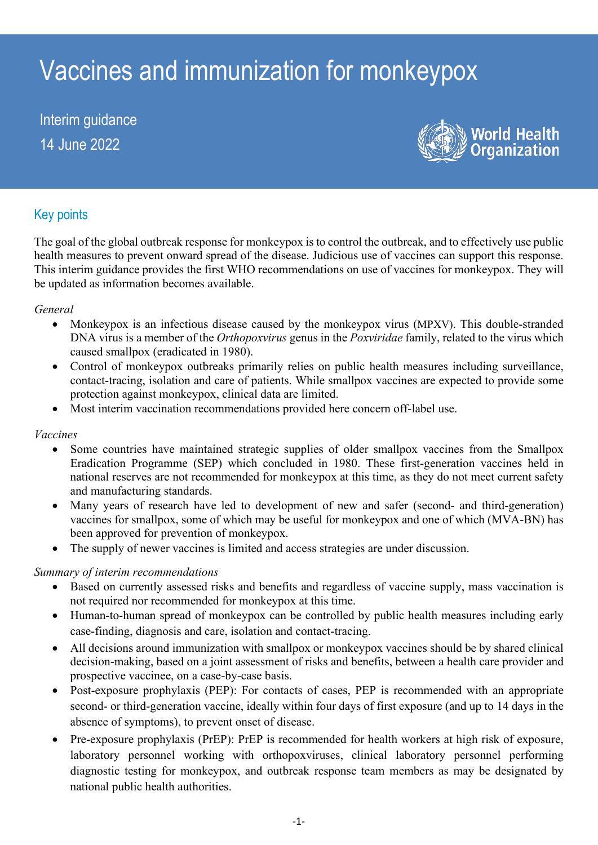# Vaccines and immunization for monkeypox

Interim guidance 14 June 2022



# Key points

The goal of the global outbreak response for monkeypox is to control the outbreak, and to effectively use public health measures to prevent onward spread of the disease. Judicious use of vaccines can support this response. This interim guidance provides the first WHO recommendations on use of vaccines for monkeypox. They will be updated as information becomes available.

#### *General*

- Monkeypox is an infectious disease caused by the monkeypox virus (MPXV). This double-stranded DNA virus is a member of the *Orthopoxvirus* genus in the *Poxviridae* family, related to the virus which caused smallpox (eradicated in 1980).
- Control of monkeypox outbreaks primarily relies on public health measures including surveillance, contact-tracing, isolation and care of patients. While smallpox vaccines are expected to provide some protection against monkeypox, clinical data are limited.
- Most interim vaccination recommendations provided here concern off-label use.

#### *Vaccines*

- Some countries have maintained strategic supplies of older smallpox vaccines from the Smallpox Eradication Programme (SEP) which concluded in 1980. These first-generation vaccines held in national reserves are not recommended for monkeypox at this time, as they do not meet current safety and manufacturing standards.
- Many years of research have led to development of new and safer (second- and third-generation) vaccines for smallpox, some of which may be useful for monkeypox and one of which (MVA-BN) has been approved for prevention of monkeypox.
- The supply of newer vaccines is limited and access strategies are under discussion.

## *Summary of interim recommendations*

- Based on currently assessed risks and benefits and regardless of vaccine supply, mass vaccination is not required nor recommended for monkeypox at this time.
- Human-to-human spread of monkeypox can be controlled by public health measures including early case-finding, diagnosis and care, isolation and contact-tracing.
- All decisions around immunization with smallpox or monkeypox vaccines should be by shared clinical decision-making, based on a joint assessment of risks and benefits, between a health care provider and prospective vaccinee, on a case-by-case basis.
- Post-exposure prophylaxis (PEP): For contacts of cases, PEP is recommended with an appropriate second- or third-generation vaccine, ideally within four days of first exposure (and up to 14 days in the absence of symptoms), to prevent onset of disease.
- Pre-exposure prophylaxis (PrEP): PrEP is recommended for health workers at high risk of exposure, laboratory personnel working with orthopoxviruses, clinical laboratory personnel performing diagnostic testing for monkeypox, and outbreak response team members as may be designated by national public health authorities.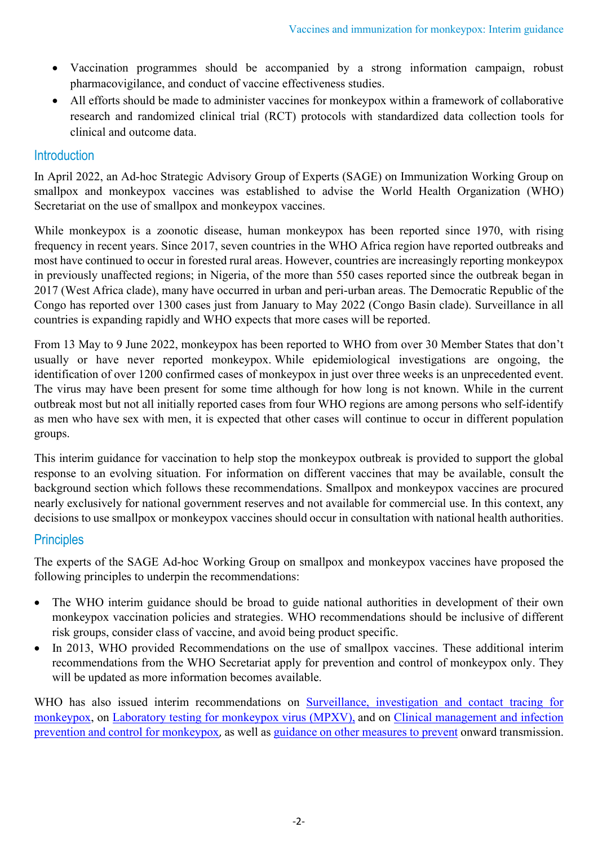- Vaccination programmes should be accompanied by a strong information campaign, robust pharmacovigilance, and conduct of vaccine effectiveness studies.
- All efforts should be made to administer vaccines for monkeypox within a framework of collaborative research and randomized clinical trial (RCT) protocols with standardized data collection tools for clinical and outcome data.

# Introduction

In April 2022, an Ad-hoc Strategic Advisory Group of Experts (SAGE) on Immunization Working Group on smallpox and monkeypox vaccines was established to advise the World Health Organization (WHO) Secretariat on the use of smallpox and monkeypox vaccines.

While monkeypox is a zoonotic disease, human monkeypox has been reported since 1970, with rising frequency in recent years. Since 2017, seven countries in the WHO Africa region have reported outbreaks and most have continued to occur in forested rural areas. However, countries are increasingly reporting monkeypox in previously unaffected regions; in Nigeria, of the more than 550 cases reported since the outbreak began in 2017 (West Africa clade), many have occurred in urban and peri-urban areas. The Democratic Republic of the Congo has reported over 1300 cases just from January to May 2022 (Congo Basin clade). Surveillance in all countries is expanding rapidly and WHO expects that more cases will be reported.

From 13 May to 9 June 2022, monkeypox has been reported to WHO from over 30 Member States that don't usually or have never reported monkeypox. While epidemiological investigations are ongoing, the identification of over 1200 confirmed cases of monkeypox in just over three weeks is an unprecedented event. The virus may have been present for some time although for how long is not known. While in the current outbreak most but not all initially reported cases from four WHO regions are among persons who self-identify as men who have sex with men, it is expected that other cases will continue to occur in different population groups.

This interim guidance for vaccination to help stop the monkeypox outbreak is provided to support the global response to an evolving situation. For information on different vaccines that may be available, consult the background section which follows these recommendations. Smallpox and monkeypox vaccines are procured nearly exclusively for national government reserves and not available for commercial use. In this context, any decisions to use smallpox or monkeypox vaccines should occur in consultation with national health authorities.

# **Principles**

The experts of the SAGE Ad-hoc Working Group on smallpox and monkeypox vaccines have proposed the following principles to underpin the recommendations:

- The WHO interim guidance should be broad to guide national authorities in development of their own monkeypox vaccination policies and strategies. WHO recommendations should be inclusive of different risk groups, consider class of vaccine, and avoid being product specific.
- In 2013, WHO provided [Recommendations on the use of smallpox vaccines.](https://www.who.int/publications/i/item/WER8901) These additional interim recommendations from the WHO Secretariat apply for prevention and control of monkeypox only. They will be updated as more information becomes available.

WHO has also issued interim recommendations on Surveillance, investigation and contact tracing for [monkeypox,](https://apps.who.int/iris/bitstream/handle/10665/354486/WHO-MPX-Surveillance-2022.1-eng.pdf) on [Laboratory testing for monkeypox virus \(MPXV\),](https://apps.who.int/iris/bitstream/handle/10665/354488/WHO-MPX-Laboratory-2022.1-eng.pdf) and on [Clinical management and infection](https://www.who.int/publications/i/item/WHO-MPX-Clinical-and-IPC-2022.1)  [prevention and control for monkeypox](https://www.who.int/publications/i/item/WHO-MPX-Clinical-and-IPC-2022.1), as well as [guidance on other measures to prevent](https://www.who.int/news/item/25-05-2022-monkeypox--public-health-advice-for-gay--bisexual-and-other-men-who-have-sex-with-men) onward transmission.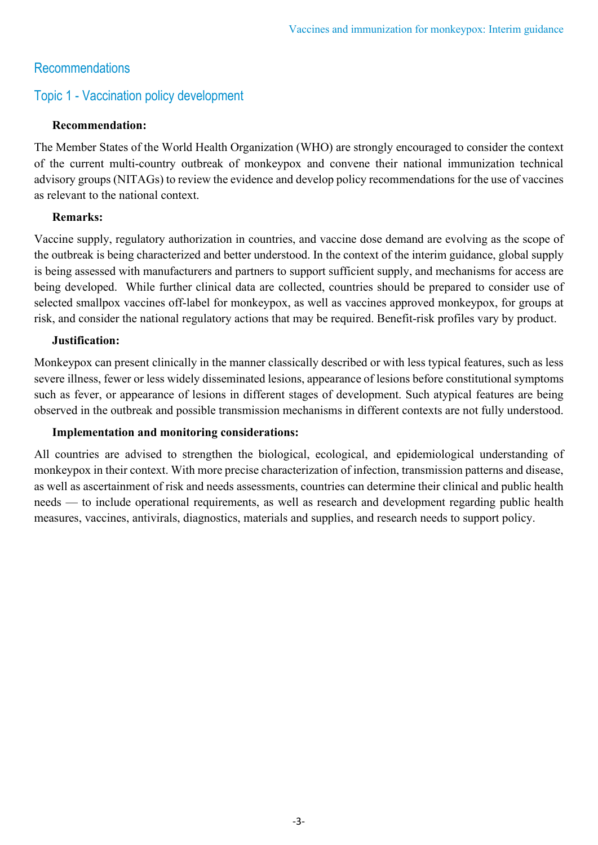# Recommendations

# Topic 1 - Vaccination policy development

## **Recommendation:**

The Member States of the World Health Organization (WHO) are strongly encouraged to consider the context of the current multi-country outbreak of monkeypox and convene their national immunization technical advisory groups (NITAGs) to review the evidence and develop policy recommendations for the use of vaccines as relevant to the national context.

## **Remarks:**

Vaccine supply, regulatory authorization in countries, and vaccine dose demand are evolving as the scope of the outbreak is being characterized and better understood. In the context of the interim guidance, global supply is being assessed with manufacturers and partners to support sufficient supply, and mechanisms for access are being developed. While further clinical data are collected, countries should be prepared to consider use of selected smallpox vaccines off-label for monkeypox, as well as vaccines approved monkeypox, for groups at risk, and consider the national regulatory actions that may be required. Benefit-risk profiles vary by product.

#### **Justification:**

Monkeypox can present clinically in the manner classically described or with less typical features, such as less severe illness, fewer or less widely disseminated lesions, appearance of lesions before constitutional symptoms such as fever, or appearance of lesions in different stages of development. Such atypical features are being observed in the outbreak and possible transmission mechanisms in different contexts are not fully understood.

## **Implementation and monitoring considerations:**

All countries are advised to strengthen the biological, ecological, and epidemiological understanding of monkeypox in their context. With more precise characterization of infection, transmission patterns and disease, as well as ascertainment of risk and needs assessments, countries can determine their clinical and public health needs — to include operational requirements, as well as research and development regarding public health measures, vaccines, antivirals, diagnostics, materials and supplies, and research needs to support policy.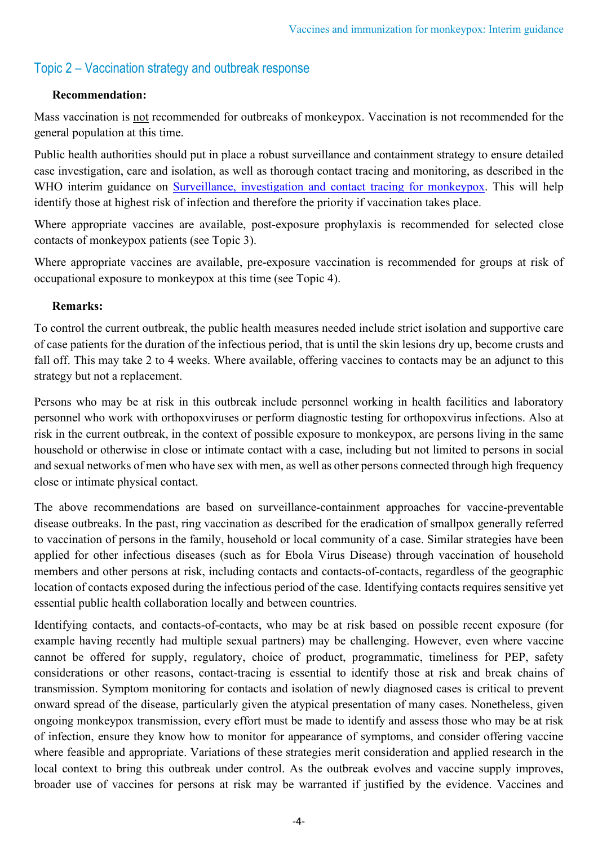# Topic 2 – Vaccination strategy and outbreak response

## **Recommendation:**

Mass vaccination is not recommended for outbreaks of monkeypox. Vaccination is not recommended for the general population at this time.

Public health authorities should put in place a robust surveillance and containment strategy to ensure detailed case investigation, care and isolation, as well as thorough contact tracing and monitoring, as described in the WHO interim guidance on [Surveillance, investigation and contact tracing for monkeypox.](https://www.who.int/publications/i/item/WHO-MPX-surveillance-2022.1) This will help identify those at highest risk of infection and therefore the priority if vaccination takes place.

Where appropriate vaccines are available, post-exposure prophylaxis is recommended for selected close contacts of monkeypox patients (see Topic 3).

Where appropriate vaccines are available, pre-exposure vaccination is recommended for groups at risk of occupational exposure to monkeypox at this time (see Topic 4).

## **Remarks:**

To control the current outbreak, the public health measures needed include strict isolation and supportive care of case patients for the duration of the infectious period, that is until the skin lesions dry up, become crusts and fall off. This may take 2 to 4 weeks. Where available, offering vaccines to contacts may be an adjunct to this strategy but not a replacement.

Persons who may be at risk in this outbreak include personnel working in health facilities and laboratory personnel who work with orthopoxviruses or perform diagnostic testing for orthopoxvirus infections. Also at risk in the current outbreak, in the context of possible exposure to monkeypox, are persons living in the same household or otherwise in close or intimate contact with a case, including but not limited to persons in social and sexual networks of men who have sex with men, as well as other persons connected through high frequency close or intimate physical contact.

The above recommendations are based on surveillance-containment approaches for vaccine-preventable disease outbreaks. In the past, ring vaccination as described for the eradication of smallpox generally referred to vaccination of persons in the family, household or local community of a case. Similar strategies have been applied for other infectious diseases (such as for Ebola Virus Disease) through vaccination of household members and other persons at risk, including contacts and contacts-of-contacts, regardless of the geographic location of contacts exposed during the infectious period of the case. Identifying contacts requires sensitive yet essential public health collaboration locally and between countries.

Identifying contacts, and contacts-of-contacts, who may be at risk based on possible recent exposure (for example having recently had multiple sexual partners) may be challenging. However, even where vaccine cannot be offered for supply, regulatory, choice of product, programmatic, timeliness for PEP, safety considerations or other reasons, contact-tracing is essential to identify those at risk and break chains of transmission. Symptom monitoring for contacts and isolation of newly diagnosed cases is critical to prevent onward spread of the disease, particularly given the atypical presentation of many cases. Nonetheless, given ongoing monkeypox transmission, every effort must be made to identify and assess those who may be at risk of infection, ensure they know how to monitor for appearance of symptoms, and consider offering vaccine where feasible and appropriate. Variations of these strategies merit consideration and applied research in the local context to bring this outbreak under control. As the outbreak evolves and vaccine supply improves, broader use of vaccines for persons at risk may be warranted if justified by the evidence. Vaccines and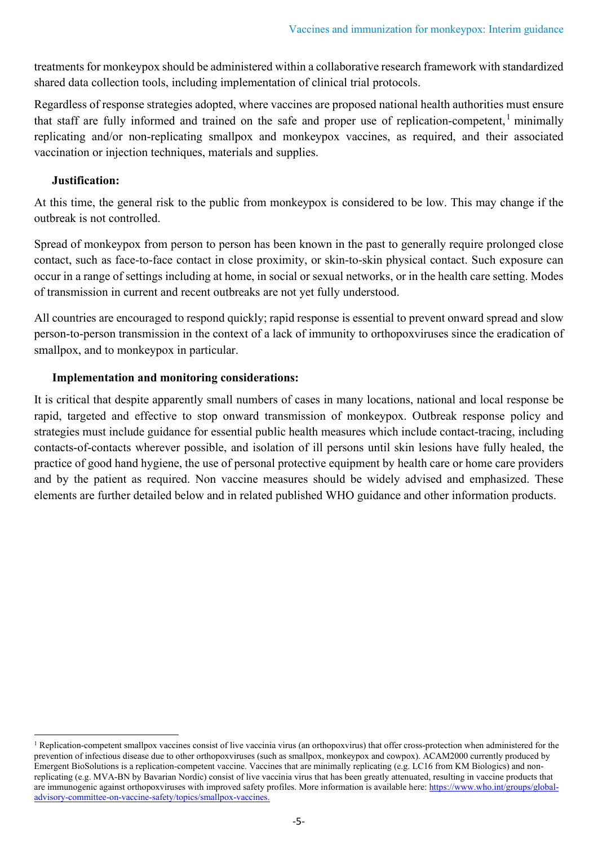treatments for monkeypox should be administered within a collaborative research framework with standardized shared data collection tools, including implementation of clinical trial protocols.

Regardless of response strategies adopted, where vaccines are proposed national health authorities must ensure that staff are fully informed and trained on the safe and proper use of replication-competent, $<sup>1</sup>$  $<sup>1</sup>$  $<sup>1</sup>$  minimally</sup> replicating and/or non-replicating smallpox and monkeypox vaccines, as required, and their associated vaccination or injection techniques, materials and supplies.

## **Justification:**

At this time, the general risk to the public from monkeypox is considered to be low. This may change if the outbreak is not controlled.

Spread of monkeypox from person to person has been known in the past to generally require prolonged close contact, such as face-to-face contact in close proximity, or skin-to-skin physical contact. Such exposure can occur in a range of settings including at home, in social or sexual networks, or in the health care setting. Modes of transmission in current and recent outbreaks are not yet fully understood.

All countries are encouraged to respond quickly; rapid response is essential to prevent onward spread and slow person-to-person transmission in the context of a lack of immunity to orthopoxviruses since the eradication of smallpox, and to monkeypox in particular.

## **Implementation and monitoring considerations:**

It is critical that despite apparently small numbers of cases in many locations, national and local response be rapid, targeted and effective to stop onward transmission of monkeypox. Outbreak response policy and strategies must include guidance for essential public health measures which include contact-tracing, including contacts-of-contacts wherever possible, and isolation of ill persons until skin lesions have fully healed, the practice of good hand hygiene, the use of personal protective equipment by health care or home care providers and by the patient as required. Non vaccine measures should be widely advised and emphasized. These elements are further detailed below and in related published WHO guidance and other information products.

<span id="page-4-0"></span><sup>&</sup>lt;sup>1</sup> Replication-competent smallpox vaccines consist of live vaccinia virus (an orthopoxvirus) that offer cross-protection when administered for the prevention of infectious disease due to other orthopoxviruses (such as smallpox, monkeypox and cowpox). ACAM2000 currently produced by Emergent BioSolutions is a replication-competent vaccine. Vaccines that are minimally replicating (e.g. LC16 from KM Biologics) and nonreplicating (e.g. MVA-BN by Bavarian Nordic) consist of live vaccinia virus that has been greatly attenuated, resulting in vaccine products that are immunogenic against orthopoxviruses with improved safety profiles. More information is available here[: https://www.who.int/groups/global](https://www.who.int/groups/global-advisory-committee-on-vaccine-safety/topics/smallpox-vaccines.)[advisory-committee-on-vaccine-safety/topics/smallpox-vaccines.](https://www.who.int/groups/global-advisory-committee-on-vaccine-safety/topics/smallpox-vaccines.)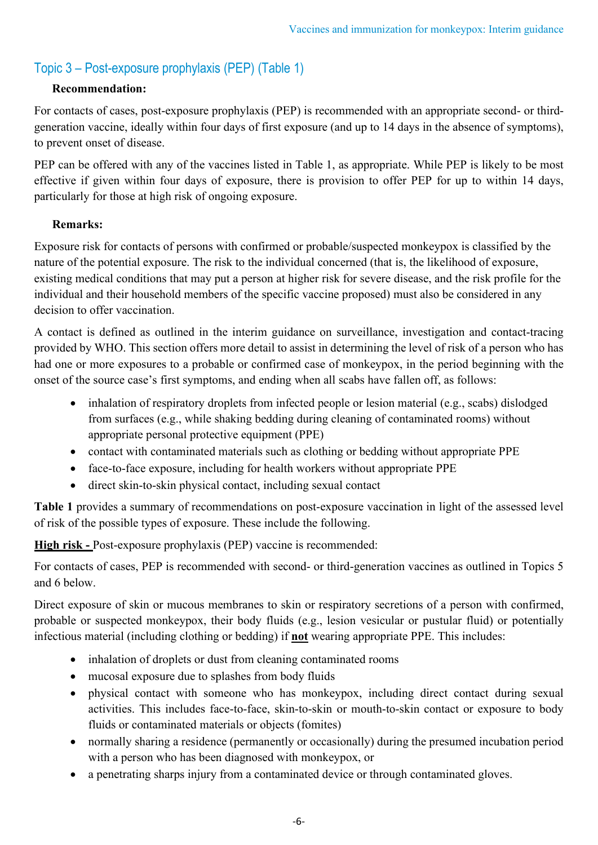# Topic 3 – Post-exposure prophylaxis (PEP) (Table 1)

# **Recommendation:**

For contacts of cases, post-exposure prophylaxis (PEP) is recommended with an appropriate second- or thirdgeneration vaccine, ideally within four days of first exposure (and up to 14 days in the absence of symptoms), to prevent onset of disease.

PEP can be offered with any of the vaccines listed in Table 1, as appropriate. While PEP is likely to be most effective if given within four days of exposure, there is provision to offer PEP for up to within 14 days, particularly for those at high risk of ongoing exposure.

# **Remarks:**

Exposure risk for contacts of persons with confirmed or probable/suspected monkeypox is classified by the nature of the potential exposure. The risk to the individual concerned (that is, the likelihood of exposure, existing medical conditions that may put a person at higher risk for severe disease, and the risk profile for the individual and their household members of the specific vaccine proposed) must also be considered in any decision to offer vaccination.

A contact is defined as outlined in the interim guidance on surveillance, investigation and contact-tracing provided by WHO. This section offers more detail to assist in determining the level of risk of a person who has had one or more exposures to a probable or confirmed case of monkeypox, in the period beginning with the onset of the source case's first symptoms, and ending when all scabs have fallen off, as follows:

- inhalation of respiratory droplets from infected people or lesion material (e.g., scabs) dislodged from surfaces (e.g., while shaking bedding during cleaning of contaminated rooms) without appropriate personal protective equipment (PPE)
- contact with contaminated materials such as clothing or bedding without appropriate PPE
- face-to-face exposure, including for health workers without appropriate PPE
- direct skin-to-skin physical contact, including sexual contact

**Table 1** provides a summary of recommendations on post-exposure vaccination in light of the assessed level of risk of the possible types of exposure. These include the following.

**High risk -** Post-exposure prophylaxis (PEP) vaccine is recommended:

For contacts of cases, PEP is recommended with second- or third-generation vaccines as outlined in Topics 5 and 6 below.

Direct exposure of skin or mucous membranes to skin or respiratory secretions of a person with confirmed, probable or suspected monkeypox, their body fluids (e.g., lesion vesicular or pustular fluid) or potentially infectious material (including clothing or bedding) if **not** wearing appropriate PPE. This includes:

- inhalation of droplets or dust from cleaning contaminated rooms
- mucosal exposure due to splashes from body fluids
- physical contact with someone who has monkeypox, including direct contact during sexual activities. This includes face-to-face, skin-to-skin or mouth-to-skin contact or exposure to body fluids or contaminated materials or objects (fomites)
- normally sharing a residence (permanently or occasionally) during the presumed incubation period with a person who has been diagnosed with monkeypox, or
- a penetrating sharps injury from a contaminated device or through contaminated gloves.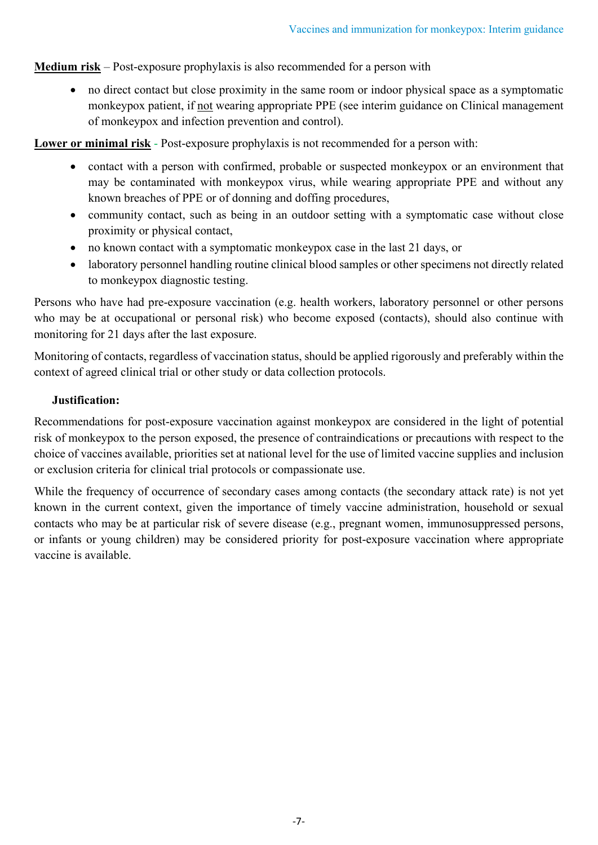**Medium risk** – Post-exposure prophylaxis is also recommended for a person with

• no direct contact but close proximity in the same room or indoor physical space as a symptomatic monkeypox patient, if not wearing appropriate PPE (see interim guidance on Clinical management of monkeypox and infection prevention and control).

**Lower or minimal risk** - Post-exposure prophylaxis is not recommended for a person with:

- contact with a person with confirmed, probable or suspected monkeypox or an environment that may be contaminated with monkeypox virus, while wearing appropriate PPE and without any known breaches of PPE or of donning and doffing procedures,
- community contact, such as being in an outdoor setting with a symptomatic case without close proximity or physical contact,
- no known contact with a symptomatic monkeypox case in the last 21 days, or
- laboratory personnel handling routine clinical blood samples or other specimens not directly related to monkeypox diagnostic testing.

Persons who have had pre-exposure vaccination (e.g. health workers, laboratory personnel or other persons who may be at occupational or personal risk) who become exposed (contacts), should also continue with monitoring for 21 days after the last exposure.

Monitoring of contacts, regardless of vaccination status, should be applied rigorously and preferably within the context of agreed clinical trial or other study or data collection protocols.

## **Justification:**

Recommendations for post-exposure vaccination against monkeypox are considered in the light of potential risk of monkeypox to the person exposed, the presence of contraindications or precautions with respect to the choice of vaccines available, priorities set at national level for the use of limited vaccine supplies and inclusion or exclusion criteria for clinical trial protocols or compassionate use.

While the frequency of occurrence of secondary cases among contacts (the secondary attack rate) is not yet known in the current context, given the importance of timely vaccine administration, household or sexual contacts who may be at particular risk of severe disease (e.g., pregnant women, immunosuppressed persons, or infants or young children) may be considered priority for post-exposure vaccination where appropriate vaccine is available.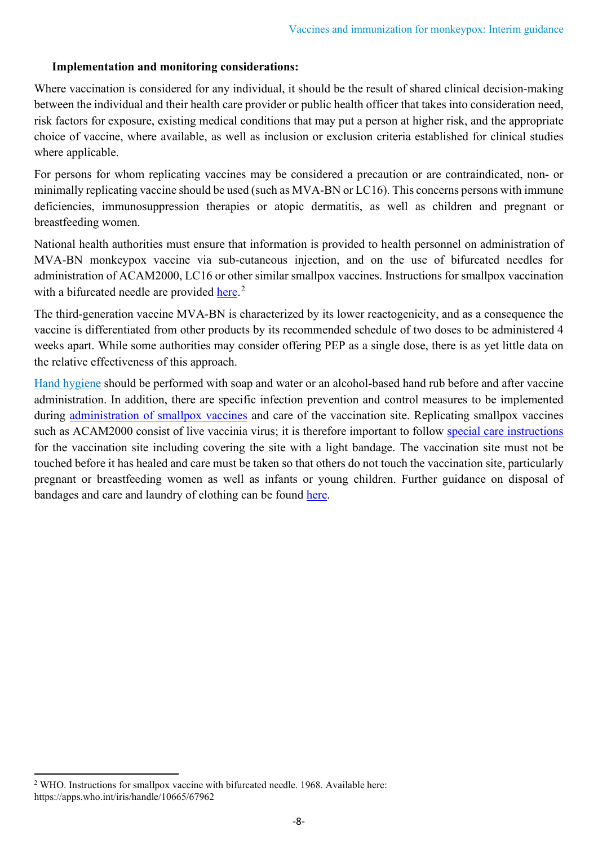## **Implementation and monitoring considerations:**

Where vaccination is considered for any individual, it should be the result of shared clinical decision-making between the individual and their health care provider or public health officer that takes into consideration need, risk factors for exposure, existing medical conditions that may put a person at higher risk, and the appropriate choice of vaccine, where available, as well as inclusion or exclusion criteria established for clinical studies where applicable.

For persons for whom replicating vaccines may be considered a precaution or are contraindicated, non- or minimally replicating vaccine should be used (such as MVA-BN or LC16). This concerns persons with immune deficiencies, immunosuppression therapies or atopic dermatitis, as well as children and pregnant or breastfeeding women.

National health authorities must ensure that information is provided to health personnel on administration of MVA-BN monkeypox vaccine via sub-cutaneous injection, and on the use of bifurcated needles for administration of ACAM2000, LC16 or other similar smallpox vaccines. Instructions for smallpox vaccination with a bifurcated needle are provided [here.](https://apps.who.int/iris/handle/10665/67962)<sup>[2](#page-7-0)</sup>

The third-generation vaccine MVA-BN is characterized by its lower reactogenicity, and as a consequence the vaccine is differentiated from other products by its recommended schedule of two doses to be administered 4 weeks apart. While some authorities may consider offering PEP as a single dose, there is as yet little data on the relative effectiveness of this approach.

[Hand hygiene](https://cdn.who.int/media/docs/default-source/patient-safety/how-to-handwash-poster.pdf?sfvrsn=7004a09d_7) should be performed with soap and water or an alcohol-based hand rub before and after vaccine administration. In addition, there are specific infection prevention and control measures to be implemented during administration [of smallpox vaccines](https://www.cdc.gov/smallpox/clinicians/vaccination.html) and care of the vaccination site. Replicating smallpox vaccines such as ACAM2000 consist of live vaccinia virus; it is therefore important to follow special [care instructions](https://www.cdc.gov/smallpox/vaccine-basics/who-gets-vaccination.html#care-for) for the vaccination site including covering the site with a light bandage. The vaccination site must not be touched before it has healed and care must be taken so that others do not touch the vaccination site, particularly pregnant or breastfeeding women as well as infants or young children. Further guidance on disposal of bandages and care and laundry of clothing can be found [here.](https://www.cdc.gov/smallpox/vaccine-basics/who-gets-vaccination.html#care-for)

<span id="page-7-0"></span><sup>&</sup>lt;sup>2</sup> WHO. Instructions for smallpox vaccine with bifurcated needle. 1968. Available here: https://apps.who.int/iris/handle/10665/67962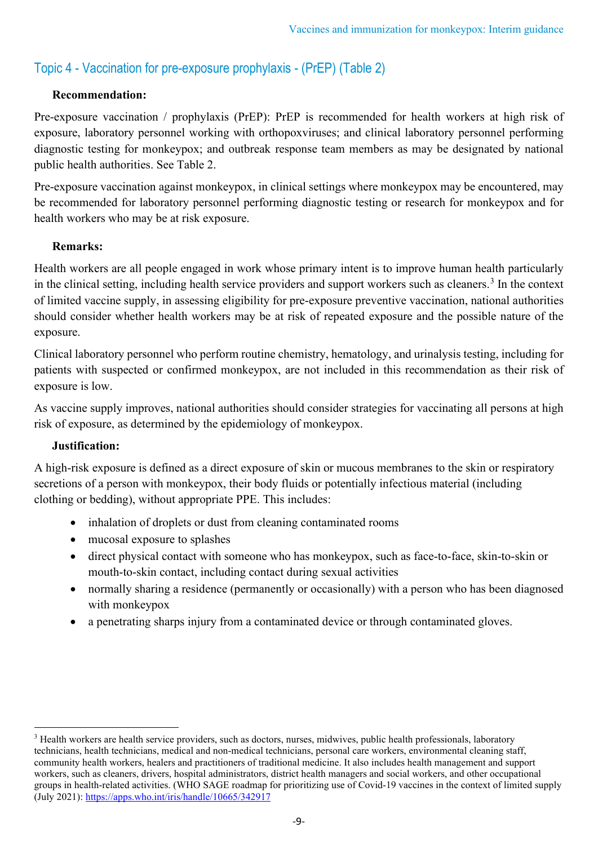# Topic 4 - Vaccination for pre-exposure prophylaxis - (PrEP) (Table 2)

# **Recommendation:**

Pre-exposure vaccination / prophylaxis (PrEP): PrEP is recommended for health workers at high risk of exposure, laboratory personnel working with orthopoxviruses; and clinical laboratory personnel performing diagnostic testing for monkeypox; and outbreak response team members as may be designated by national public health authorities. See Table 2.

Pre-exposure vaccination against monkeypox, in clinical settings where monkeypox may be encountered, may be recommended for laboratory personnel performing diagnostic testing or research for monkeypox and for health workers who may be at risk exposure.

# **Remarks:**

Health workers are all people engaged in work whose primary intent is to improve human health particularly in the clinical setting, including health service providers and support workers such as cleaners.<sup>[3](#page-8-0)</sup> In the context of limited vaccine supply, in assessing eligibility for pre-exposure preventive vaccination, national authorities should consider whether health workers may be at risk of repeated exposure and the possible nature of the exposure.

Clinical laboratory personnel who perform routine chemistry, hematology, and urinalysis testing, including for patients with suspected or confirmed monkeypox, are not included in this recommendation as their risk of exposure is low.

As vaccine supply improves, national authorities should consider strategies for vaccinating all persons at high risk of exposure, as determined by the epidemiology of monkeypox.

## **Justification:**

A high-risk exposure is defined as a direct exposure of skin or mucous membranes to the skin or respiratory secretions of a person with monkeypox, their body fluids or potentially infectious material (including clothing or bedding), without appropriate PPE. This includes:

- inhalation of droplets or dust from cleaning contaminated rooms
- mucosal exposure to splashes
- direct physical contact with someone who has monkeypox, such as face-to-face, skin-to-skin or mouth-to-skin contact, including contact during sexual activities
- normally sharing a residence (permanently or occasionally) with a person who has been diagnosed with monkeypox
- a penetrating sharps injury from a contaminated device or through contaminated gloves.

<span id="page-8-0"></span><sup>&</sup>lt;sup>3</sup> Health workers are health service providers, such as doctors, nurses, midwives, public health professionals, laboratory technicians, health technicians, medical and non-medical technicians, personal care workers, environmental cleaning staff, community health workers, healers and practitioners of traditional medicine. It also includes health management and support workers, such as cleaners, drivers, hospital administrators, district health managers and social workers, and other occupational groups in health-related activities. (WHO SAGE roadmap for prioritizing use of Covid-19 vaccines in the context of limited supply (July 2021):<https://apps.who.int/iris/handle/10665/342917>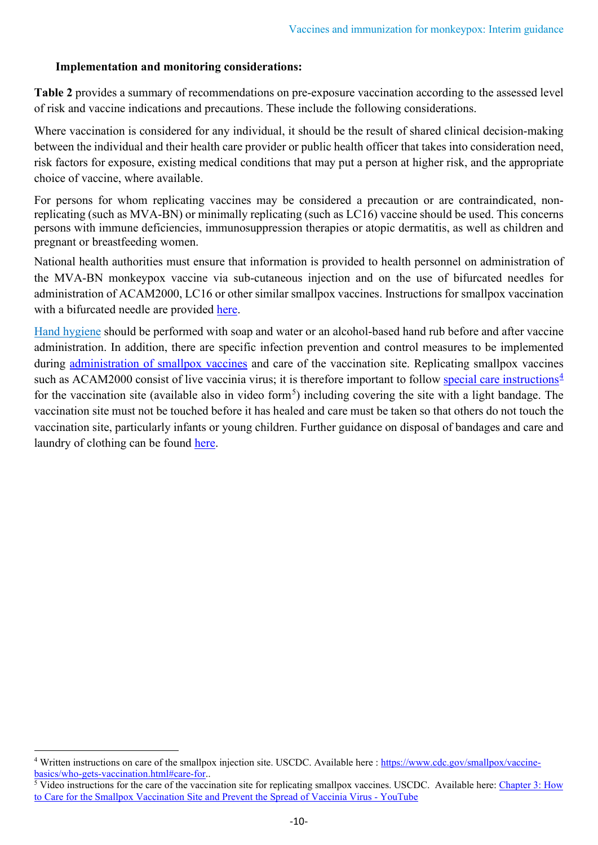## **Implementation and monitoring considerations:**

**Table 2** provides a summary of recommendations on pre-exposure vaccination according to the assessed level of risk and vaccine indications and precautions. These include the following considerations.

Where vaccination is considered for any individual, it should be the result of shared clinical decision-making between the individual and their health care provider or public health officer that takes into consideration need, risk factors for exposure, existing medical conditions that may put a person at higher risk, and the appropriate choice of vaccine, where available.

For persons for whom replicating vaccines may be considered a precaution or are contraindicated, nonreplicating (such as MVA-BN) or minimally replicating (such as LC16) vaccine should be used. This concerns persons with immune deficiencies, immunosuppression therapies or atopic dermatitis, as well as children and pregnant or breastfeeding women.

National health authorities must ensure that information is provided to health personnel on administration of the MVA-BN monkeypox vaccine via sub-cutaneous injection and on the use of bifurcated needles for administration of ACAM2000, LC16 or other similar smallpox vaccines. Instructions for smallpox vaccination with a bifurcated needle are provided [here.](https://apps.who.int/iris/handle/10665/67962)

[Hand hygiene](https://cdn.who.int/media/docs/default-source/patient-safety/how-to-handwash-poster.pdf?sfvrsn=7004a09d_7) should be performed with soap and water or an alcohol-based hand rub before and after vaccine administration. In addition, there are specific infection prevention and control measures to be implemented during administration [of smallpox vaccines](https://www.cdc.gov/smallpox/clinicians/vaccination.html) and care of the vaccination site. Replicating smallpox vaccines such as ACAM2000 consist of live vaccinia virus; it is therefore important to follow [special care instructions](https://www.cdc.gov/smallpox/vaccine-basics/who-gets-vaccination.html#care-for) $4$ for the vaccination site (available also in video form<sup>[5](#page-9-1)</sup>) including covering the site with a light bandage. The vaccination site must not be touched before it has healed and care must be taken so that others do not touch the vaccination site, particularly infants or young children. Further guidance on disposal of bandages and care and laundry of clothing can be found [here.](https://www.cdc.gov/smallpox/vaccine-basics/who-gets-vaccination.html#care-for)

<span id="page-9-0"></span><sup>&</sup>lt;sup>4</sup> Written instructions on care of the smallpox injection site. USCDC. Available here : [https://www.cdc.gov/smallpox/vaccine](https://www.cdc.gov/smallpox/vaccine-basics/who-gets-vaccination.html#care-for)[basics/who-gets-vaccination.html#care-for.](https://www.cdc.gov/smallpox/vaccine-basics/who-gets-vaccination.html#care-for).

<span id="page-9-1"></span>Video instructions for the care of the vaccination site for replicating smallpox vaccines. USCDC. Available here: Chapter 3: How [to Care for the Smallpox Vaccination Site and Prevent the Spread of Vaccinia Virus - YouTube](https://www.youtube.com/watch?v=WqANOlSunpE)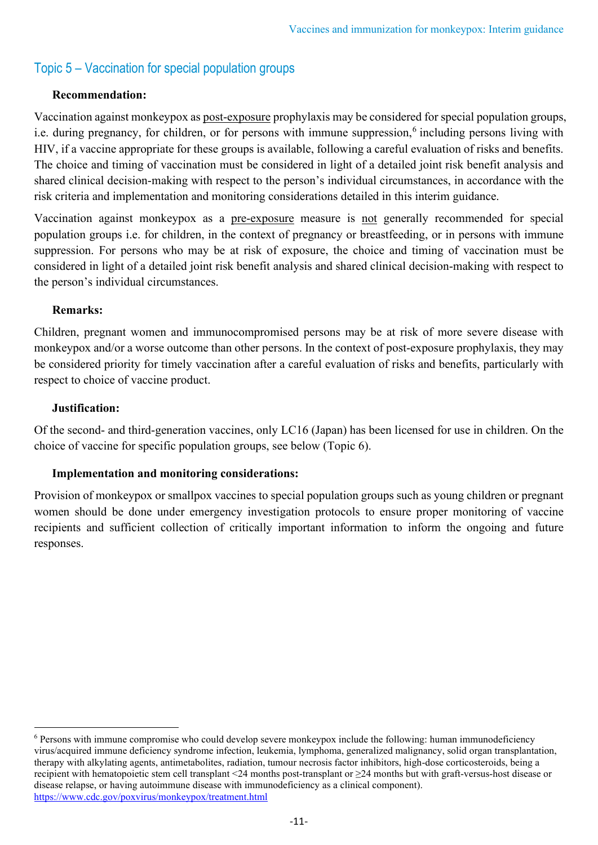# Topic 5 – Vaccination for special population groups

## **Recommendation:**

Vaccination against monkeypox as post-exposure prophylaxis may be considered for special population groups, i.e. during pregnancy, for children, or for persons with immune suppression,<sup>[6](#page-10-0)</sup> including persons living with HIV, if a vaccine appropriate for these groups is available, following a careful evaluation of risks and benefits. The choice and timing of vaccination must be considered in light of a detailed joint risk benefit analysis and shared clinical decision-making with respect to the person's individual circumstances, in accordance with the risk criteria and implementation and monitoring considerations detailed in this interim guidance.

Vaccination against monkeypox as a pre-exposure measure is not generally recommended for special population groups i.e. for children, in the context of pregnancy or breastfeeding, or in persons with immune suppression. For persons who may be at risk of exposure, the choice and timing of vaccination must be considered in light of a detailed joint risk benefit analysis and shared clinical decision-making with respect to the person's individual circumstances.

#### **Remarks:**

Children, pregnant women and immunocompromised persons may be at risk of more severe disease with monkeypox and/or a worse outcome than other persons. In the context of post-exposure prophylaxis, they may be considered priority for timely vaccination after a careful evaluation of risks and benefits, particularly with respect to choice of vaccine product.

#### **Justification:**

Of the second- and third-generation vaccines, only LC16 (Japan) has been licensed for use in children. On the choice of vaccine for specific population groups, see below (Topic 6).

## **Implementation and monitoring considerations:**

Provision of monkeypox or smallpox vaccines to special population groups such as young children or pregnant women should be done under emergency investigation protocols to ensure proper monitoring of vaccine recipients and sufficient collection of critically important information to inform the ongoing and future responses.

<span id="page-10-0"></span><sup>6</sup> Persons with immune compromise who could develop severe monkeypox include the following: human immunodeficiency virus/acquired immune deficiency syndrome infection, leukemia, lymphoma, generalized malignancy, solid organ transplantation, therapy with alkylating agents, antimetabolites, radiation, tumour necrosis factor inhibitors, high-dose corticosteroids, being a recipient with hematopoietic stem cell transplant <24 months post-transplant or ≥24 months but with graft-versus-host disease or disease relapse, or having autoimmune disease with immunodeficiency as a clinical component). <https://www.cdc.gov/poxvirus/monkeypox/treatment.html>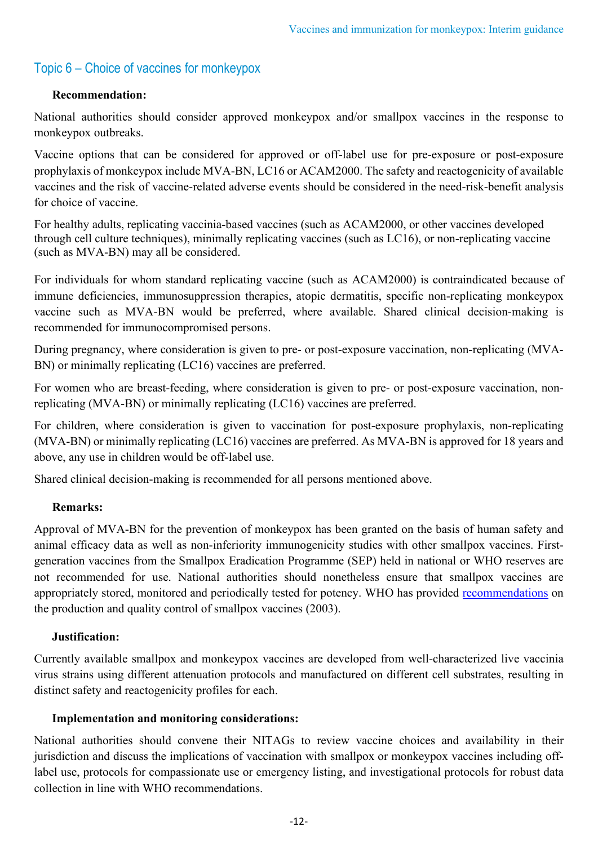# Topic 6 – Choice of vaccines for monkeypox

## **Recommendation:**

National authorities should consider approved monkeypox and/or smallpox vaccines in the response to monkeypox outbreaks.

Vaccine options that can be considered for approved or off-label use for pre-exposure or post-exposure prophylaxis of monkeypox include MVA-BN, LC16 or ACAM2000. The safety and reactogenicity of available vaccines and the risk of vaccine-related adverse events should be considered in the need-risk-benefit analysis for choice of vaccine.

For healthy adults, replicating vaccinia-based vaccines (such as ACAM2000, or other vaccines developed through cell culture techniques), minimally replicating vaccines (such as LC16), or non-replicating vaccine (such as MVA-BN) may all be considered.

For individuals for whom standard replicating vaccine (such as ACAM2000) is contraindicated because of immune deficiencies, immunosuppression therapies, atopic dermatitis, specific non-replicating monkeypox vaccine such as MVA-BN would be preferred, where available. Shared clinical decision-making is recommended for immunocompromised persons.

During pregnancy, where consideration is given to pre- or post-exposure vaccination, non-replicating (MVA-BN) or minimally replicating (LC16) vaccines are preferred.

For women who are breast-feeding, where consideration is given to pre- or post-exposure vaccination, nonreplicating (MVA-BN) or minimally replicating (LC16) vaccines are preferred.

For children, where consideration is given to vaccination for post-exposure prophylaxis, non-replicating (MVA-BN) or minimally replicating (LC16) vaccines are preferred. As MVA-BN is approved for 18 years and above, any use in children would be off-label use.

Shared clinical decision-making is recommended for all persons mentioned above.

## **Remarks:**

Approval of MVA-BN for the prevention of monkeypox has been granted on the basis of human safety and animal efficacy data as well as non-inferiority immunogenicity studies with other smallpox vaccines. Firstgeneration vaccines from the Smallpox Eradication Programme (SEP) held in national or WHO reserves are not recommended for use. National authorities should nonetheless ensure that smallpox vaccines are appropriately stored, monitored and periodically tested for potency. WHO has provided [recommendations](https://www.who.int/publications/m/item/smallpox-vaccine-revised-2003-annex-1-trs-no-926) on the production and quality control of smallpox vaccines (2003).

#### **Justification:**

Currently available smallpox and monkeypox vaccines are developed from well-characterized live vaccinia virus strains using different attenuation protocols and manufactured on different cell substrates, resulting in distinct safety and reactogenicity profiles for each.

#### **Implementation and monitoring considerations:**

National authorities should convene their NITAGs to review vaccine choices and availability in their jurisdiction and discuss the implications of vaccination with smallpox or monkeypox vaccines including offlabel use, protocols for compassionate use or emergency listing, and investigational protocols for robust data collection in line with WHO recommendations.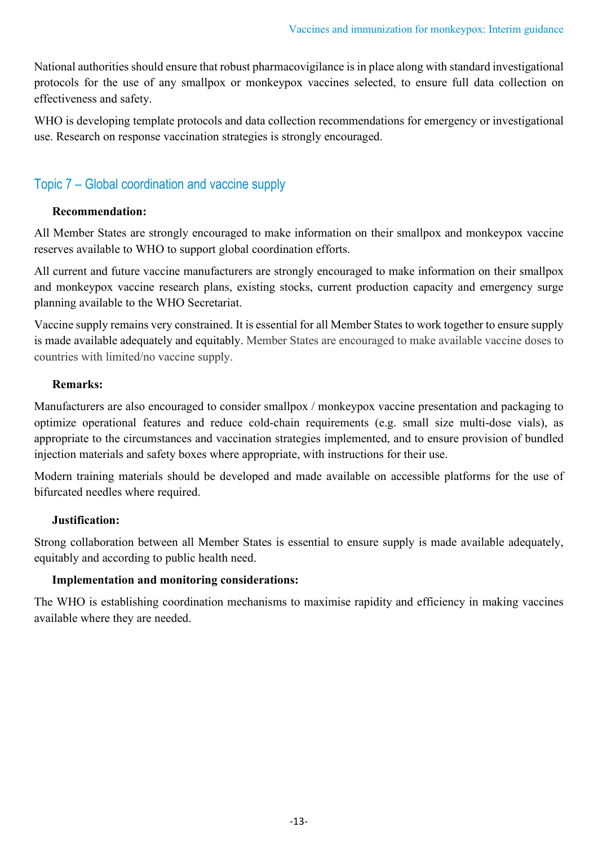National authorities should ensure that robust pharmacovigilance is in place along with standard investigational protocols for the use of any smallpox or monkeypox vaccines selected, to ensure full data collection on effectiveness and safety.

WHO is developing template protocols and data collection recommendations for emergency or investigational use. Research on response vaccination strategies is strongly encouraged.

# Topic 7 – Global coordination and vaccine supply

# **Recommendation:**

All Member States are strongly encouraged to make information on their smallpox and monkeypox vaccine reserves available to WHO to support global coordination efforts.

All current and future vaccine manufacturers are strongly encouraged to make information on their smallpox and monkeypox vaccine research plans, existing stocks, current production capacity and emergency surge planning available to the WHO Secretariat.

Vaccine supply remains very constrained. It is essential for all Member States to work together to ensure supply is made available adequately and equitably. Member States are encouraged to make available vaccine doses to countries with limited/no vaccine supply.

# **Remarks:**

Manufacturers are also encouraged to consider smallpox / monkeypox vaccine presentation and packaging to optimize operational features and reduce cold-chain requirements (e.g. small size multi-dose vials), as appropriate to the circumstances and vaccination strategies implemented, and to ensure provision of bundled injection materials and safety boxes where appropriate, with instructions for their use.

Modern training materials should be developed and made available on accessible platforms for the use of bifurcated needles where required.

# **Justification:**

Strong collaboration between all Member States is essential to ensure supply is made available adequately, equitably and according to public health need.

## **Implementation and monitoring considerations:**

The WHO is establishing coordination mechanisms to maximise rapidity and efficiency in making vaccines available where they are needed.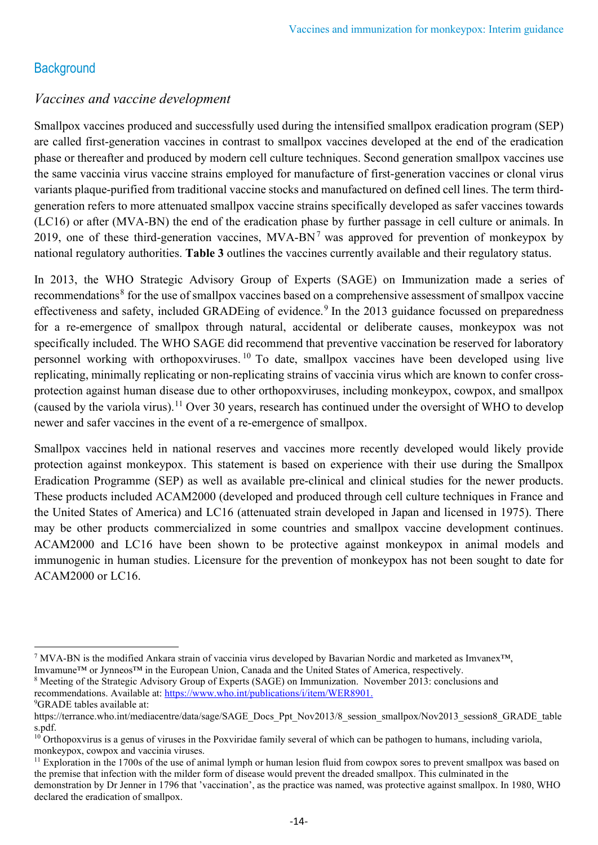# **Background**

# *Vaccines and vaccine development*

Smallpox vaccines produced and successfully used during the intensified smallpox eradication program (SEP) are called first-generation vaccines in contrast to smallpox vaccines developed at the end of the eradication phase or thereafter and produced by modern cell culture techniques. Second generation smallpox vaccines use the same vaccinia virus vaccine strains employed for manufacture of first-generation vaccines or clonal virus variants plaque-purified from traditional vaccine stocks and manufactured on defined cell lines. The term thirdgeneration refers to more attenuated smallpox vaccine strains specifically developed as safer vaccines towards (LC16) or after (MVA-BN) the end of the eradication phase by further passage in cell culture or animals. In 2019, one of these third-generation vaccines,  $MVA-BN<sup>7</sup>$  $MVA-BN<sup>7</sup>$  $MVA-BN<sup>7</sup>$  was approved for prevention of monkeypox by national regulatory authorities. **Table 3** outlines the vaccines currently available and their regulatory status.

In 2013, the WHO Strategic Advisory Group of Experts (SAGE) on Immunization made a series of recommendations<sup>[8](#page-13-1)</sup> for the use of smallpox vaccines based on a comprehensive assessment of smallpox vaccine effectiveness and safety, included GRADEing of evidence.<sup>[9](#page-13-2)</sup> In the 2013 guidance focussed on preparedness for a re-emergence of smallpox through natural, accidental or deliberate causes, monkeypox was not specifically included. The WHO SAGE did recommend that preventive vaccination be reserved for laboratory personnel working with orthopoxviruses. [10](#page-13-3) To date, smallpox vaccines have been developed using live replicating, minimally replicating or non-replicating strains of vaccinia virus which are known to confer crossprotection against human disease due to other orthopoxviruses, including monkeypox, cowpox, and smallpox (caused by the variola virus).<sup>[11](#page-13-4)</sup> Over 30 years, research has continued under the oversight of WHO to develop newer and safer vaccines in the event of a re-emergence of smallpox.

Smallpox vaccines held in national reserves and vaccines more recently developed would likely provide protection against monkeypox. This statement is based on experience with their use during the Smallpox Eradication Programme (SEP) as well as available pre-clinical and clinical studies for the newer products. These products included ACAM2000 (developed and produced through cell culture techniques in France and the United States of America) and LC16 (attenuated strain developed in Japan and licensed in 1975). There may be other products commercialized in some countries and smallpox vaccine development continues. ACAM2000 and LC16 have been shown to be protective against monkeypox in animal models and immunogenic in human studies. Licensure for the prevention of monkeypox has not been sought to date for ACAM2000 or LC16.

<span id="page-13-0"></span> $7$  MVA-BN is the modified Ankara strain of vaccinia virus developed by Bavarian Nordic and marketed as Imvanex™, Imvamune™ or Jynneos™ in the European Union, Canada and the United States of America, respectively.

<span id="page-13-1"></span><sup>8</sup> Meeting of the Strategic Advisory Group of Experts (SAGE) on Immunization. November 2013: conclusions and recommendations. Available at: [https://www.who.int/publications/i/item/WER8901.](https://www.who.int/publications/i/item/WER8901) 9 GRADE tables available at:

<span id="page-13-2"></span>https://terrance.who.int/mediacentre/data/sage/SAGE\_Docs\_Ppt\_Nov2013/8\_session\_smallpox/Nov2013\_session8\_GRADE\_table s.pdf.

<span id="page-13-3"></span> $10$  Orthopoxvirus is a genus of viruses in the Poxviridae family several of which can be pathogen to humans, including variola, monkeypox, cowpox and vaccinia viruses.

<span id="page-13-4"></span><sup>&</sup>lt;sup>11</sup> Exploration in the 1700s of the use of animal lymph or human lesion fluid from cowpox sores to prevent smallpox was based on the premise that infection with the milder form of disease would prevent the dreaded smallpox. This culminated in the demonstration by Dr Jenner in 1796 that 'vaccination', as the practice was named, was protective against smallpox. In 1980, WHO declared the eradication of smallpox.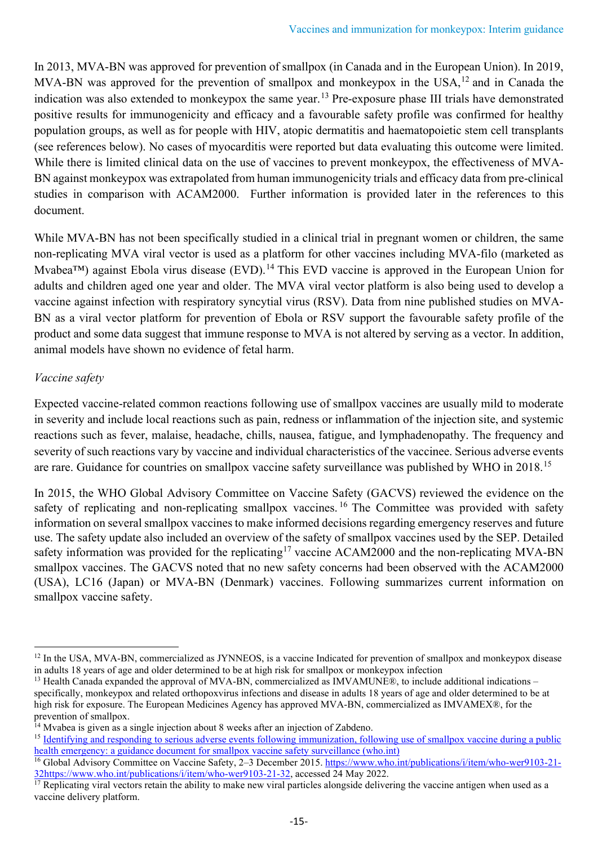In 2013, MVA-BN was approved for prevention of smallpox (in Canada and in the European Union). In 2019, MVA-BN was approved for the prevention of smallpox and monkeypox in the USA,  $^{12}$  $^{12}$  $^{12}$  and in Canada the indication was also extended to monkeypox the same year.<sup>13</sup> Pre-exposure phase III trials have demonstrated positive results for immunogenicity and efficacy and a favourable safety profile was confirmed for healthy population groups, as well as for people with HIV, atopic dermatitis and haematopoietic stem cell transplants (see references below). No cases of myocarditis were reported but data evaluating this outcome were limited. While there is limited clinical data on the use of vaccines to prevent monkeypox, the effectiveness of MVA-BN against monkeypox was extrapolated from human immunogenicity trials and efficacy data from pre-clinical studies in comparison with ACAM2000. Further information is provided later in the references to this document.

While MVA-BN has not been specifically studied in a clinical trial in pregnant women or children, the same non-replicating MVA viral vector is used as a platform for other vaccines including MVA-filo (marketed as Mvabea<sup>™</sup>) against Ebola virus disease (EVD).<sup>[14](#page-14-2)</sup> This EVD vaccine is approved in the European Union for adults and children aged one year and older. The MVA viral vector platform is also being used to develop a vaccine against infection with respiratory syncytial virus (RSV). Data from nine published studies on MVA-BN as a viral vector platform for prevention of Ebola or RSV support the favourable safety profile of the product and some data suggest that immune response to MVA is not altered by serving as a vector. In addition, animal models have shown no evidence of fetal harm.

# *Vaccine safety*

Expected vaccine-related common reactions following use of smallpox vaccines are usually mild to moderate in severity and include local reactions such as pain, redness or inflammation of the injection site, and systemic reactions such as fever, malaise, headache, chills, nausea, fatigue, and lymphadenopathy. The frequency and severity of such reactions vary by vaccine and individual characteristics of the vaccinee. Serious adverse events are rare. Guidance for countries on smallpox vaccine safety surveillance was published by WHO in 2018.[15](#page-14-3)

In 2015, the WHO Global Advisory Committee on Vaccine Safety (GACVS) reviewed the evidence on the safety of replicating and non-replicating smallpox vaccines.<sup>[16](#page-14-4)</sup> The Committee was provided with safety information on several smallpox vaccines to make informed decisions regarding emergency reserves and future use. The safety update also included an overview of the safety of smallpox vaccines used by the SEP. Detailed safety information was provided for the replicating<sup>[17](#page-14-5)</sup> vaccine ACAM2000 and the non-replicating MVA-BN smallpox vaccines. The GACVS noted that no new safety concerns had been observed with the ACAM2000 (USA), LC16 (Japan) or MVA-BN (Denmark) vaccines. Following summarizes current information on smallpox vaccine safety.

<span id="page-14-0"></span> $12$  In the USA, MVA-BN, commercialized as JYNNEOS, is a vaccine Indicated for prevention of smallpox and monkeypox disease in adults 18 years of age and older determined to be at high risk for smallpox or monkeypox infection

<span id="page-14-1"></span><sup>&</sup>lt;sup>13</sup> Health Canada expanded the approval of MVA-BN, commercialized as IMVAMUNE®, to include additional indications – specifically, monkeypox and related orthopoxvirus infections and disease in adults 18 years of age and older determined to be at high risk for exposure. The European Medicines Agency has approved MVA-BN, commercialized as IMVAMEX®, for the prevention of smallpox.

<span id="page-14-2"></span> $14$  Mvabea is given as a single injection about 8 weeks after an injection of Zabdeno.

<span id="page-14-3"></span><sup>&</sup>lt;sup>15</sup> Identifying and responding to serious adverse events following immunization, following use of smallpox vaccine during a public [health emergency: a guidance document for smallpox vaccine safety surveillance \(who.int\)](https://apps.who.int/iris/handle/10665/337041)

<span id="page-14-4"></span><sup>&</sup>lt;sup>16</sup> Global Advisory Committee on Vaccine Safety, 2–3 December 2015. [https://www.who.int/publications/i/item/who-wer9103-21-](https://www.who.int/publications/i/item/who-wer9103-21-32) [32https://www.who.int/publications/i/item/who-wer9103-21-32,](https://www.who.int/publications/i/item/who-wer9103-21-32) accessed 24 May 2022.

<span id="page-14-5"></span>Replicating viral vectors retain the ability to make new viral particles alongside delivering the vaccine antigen when used as a vaccine delivery platform.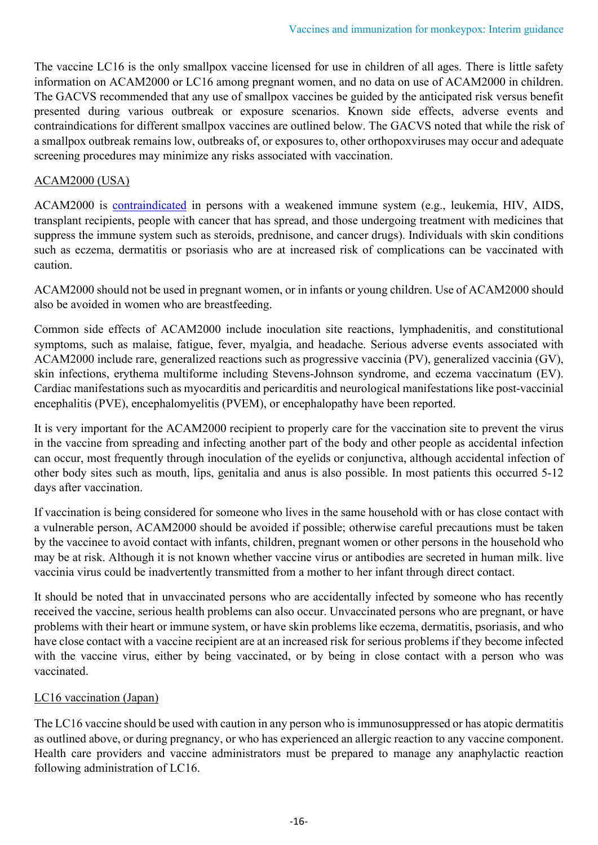The vaccine LC16 is the only smallpox vaccine licensed for use in children of all ages. There is little safety information on ACAM2000 or LC16 among pregnant women, and no data on use of ACAM2000 in children. The GACVS recommended that any use of smallpox vaccines be guided by the anticipated risk versus benefit presented during various outbreak or exposure scenarios. Known side effects, adverse events and contraindications for different smallpox vaccines are outlined below. The GACVS noted that while the risk of a smallpox outbreak remains low, outbreaks of, or exposures to, other orthopoxviruses may occur and adequate screening procedures may minimize any risks associated with vaccination.

## ACAM2000 (USA)

ACAM2000 is [contraindicated](https://www.fda.gov/media/75792/download) in persons with a weakened immune system (e.g., leukemia, HIV, AIDS, transplant recipients, people with cancer that has spread, and those undergoing treatment with medicines that suppress the immune system such as steroids, prednisone, and cancer drugs). Individuals with skin conditions such as eczema, dermatitis or psoriasis who are at increased risk of complications can be vaccinated with caution.

ACAM2000 should not be used in pregnant women, or in infants or young children. Use of ACAM2000 should also be avoided in women who are breastfeeding.

Common side effects of ACAM2000 include inoculation site reactions, lymphadenitis, and constitutional symptoms, such as malaise, fatigue, fever, myalgia, and headache. Serious adverse events associated with ACAM2000 include rare, generalized reactions such as progressive vaccinia (PV), generalized vaccinia (GV), skin infections, erythema multiforme including Stevens-Johnson syndrome, and eczema vaccinatum (EV). Cardiac manifestations such as myocarditis and pericarditis and neurological manifestations like post-vaccinial encephalitis (PVE), encephalomyelitis (PVEM), or encephalopathy have been reported.

It is very important for the ACAM2000 recipient to properly care for the vaccination site to prevent the virus in the vaccine from spreading and infecting another part of the body and other people as accidental infection can occur, most frequently through inoculation of the eyelids or conjunctiva, although accidental infection of other body sites such as mouth, lips, genitalia and anus is also possible. In most patients this occurred 5-12 days after vaccination.

If vaccination is being considered for someone who lives in the same household with or has close contact with a vulnerable person, ACAM2000 should be avoided if possible; otherwise careful precautions must be taken by the vaccinee to avoid contact with infants, children, pregnant women or other persons in the household who may be at risk. Although it is not known whether vaccine virus or antibodies are secreted in human milk. live vaccinia virus could be inadvertently transmitted from a mother to her infant through direct contact.

It should be noted that in unvaccinated persons who are accidentally infected by someone who has recently received the vaccine, serious health problems can also occur. Unvaccinated persons who are pregnant, or have problems with their heart or immune system, or have skin problems like eczema, dermatitis, psoriasis, and who have close contact with a vaccine recipient are at an increased risk for serious problems if they become infected with the vaccine virus, either by being vaccinated, or by being in close contact with a person who was vaccinated.

## LC16 vaccination (Japan)

The LC16 vaccine should be used with caution in any person who is immunosuppressed or has atopic dermatitis as outlined above, or during pregnancy, or who has experienced an allergic reaction to any vaccine component. Health care providers and vaccine administrators must be prepared to manage any anaphylactic reaction following administration of LC16.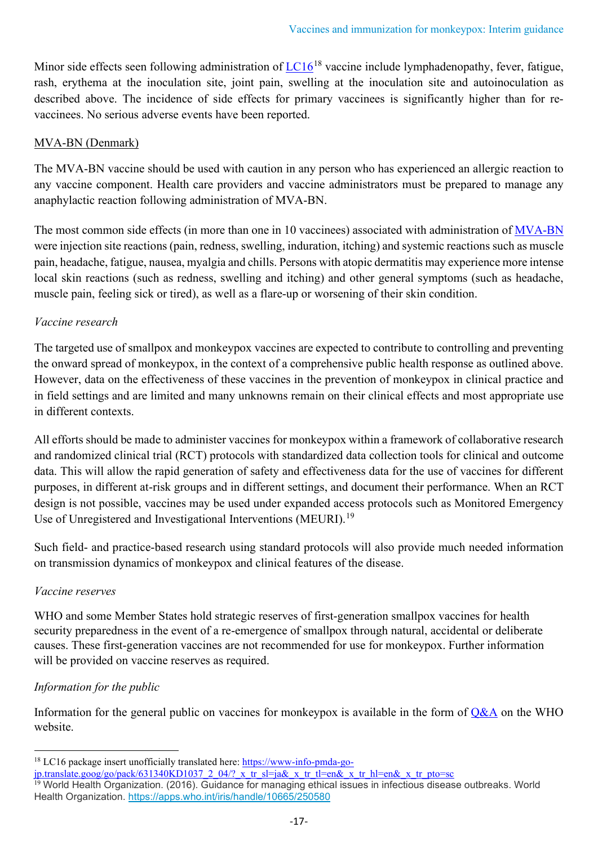Minor side effects seen following administration of  $LC16^{18}$  $LC16^{18}$  $LC16^{18}$  $LC16^{18}$  vaccine include lymphadenopathy, fever, fatigue, rash, erythema at the inoculation site, joint pain, swelling at the inoculation site and autoinoculation as described above. The incidence of side effects for primary vaccinees is significantly higher than for revaccinees. No serious adverse events have been reported.

## MVA-BN (Denmark)

The MVA-BN vaccine should be used with caution in any person who has experienced an allergic reaction to any vaccine component. Health care providers and vaccine administrators must be prepared to manage any anaphylactic reaction following administration of MVA-BN.

The most common side effects (in more than one in 10 vaccinees) associated with administration of [MVA-BN](https://www.fda.gov/media/131078/download) were injection site reactions (pain, redness, swelling, induration, itching) and systemic reactions such as muscle pain, headache, fatigue, nausea, myalgia and chills. Persons with atopic dermatitis may experience more intense local skin reactions (such as redness, swelling and itching) and other general symptoms (such as headache, muscle pain, feeling sick or tired), as well as a flare-up or worsening of their skin condition.

# *Vaccine research*

The targeted use of smallpox and monkeypox vaccines are expected to contribute to controlling and preventing the onward spread of monkeypox, in the context of a comprehensive public health response as outlined above. However, data on the effectiveness of these vaccines in the prevention of monkeypox in clinical practice and in field settings and are limited and many unknowns remain on their clinical effects and most appropriate use in different contexts.

All efforts should be made to administer vaccines for monkeypox within a framework of collaborative research and randomized clinical trial (RCT) protocols with standardized data collection tools for clinical and outcome data. This will allow the rapid generation of safety and effectiveness data for the use of vaccines for different purposes, in different at-risk groups and in different settings, and document their performance. When an RCT design is not possible, vaccines may be used under expanded access protocols such as Monitored Emergency Use of Unregistered and Investigational Interventions (MEURI).<sup>19</sup>

Such field- and practice-based research using standard protocols will also provide much needed information on transmission dynamics of monkeypox and clinical features of the disease.

# *Vaccine reserves*

WHO and some Member States hold strategic reserves of first-generation smallpox vaccines for health security preparedness in the event of a re-emergence of smallpox through natural, accidental or deliberate causes. These first-generation vaccines are not recommended for use for monkeypox. Further information will be provided on vaccine reserves as required.

# *Information for the public*

Information for the general public on vaccines for monkeypox is available in the form of  $Q&AA$  on the WHO website.

<span id="page-16-0"></span><sup>&</sup>lt;sup>18</sup> LC16 package insert unofficially translated here: [https://www-info-pmda-go-](https://www-info-pmda-go-jp.translate.goog/go/pack/631340KD1037_2_04/?_x_tr_sl=ja&_x_tr_tl=en&_x_tr_hl=en&_x_tr_pto=sc)

<span id="page-16-1"></span>ip.translate.goog/go/pack/631340KD1037\_2\_04/?\_x\_tr\_sl=ja&\_x\_tr\_tl=en&\_x\_tr\_hl=en&\_x\_tr\_pto=sc 19 World Health Organization. (2016). Guidance for managing ethical issues in infectious disease outbreaks. World Health Organization. <https://apps.who.int/iris/handle/10665/250580>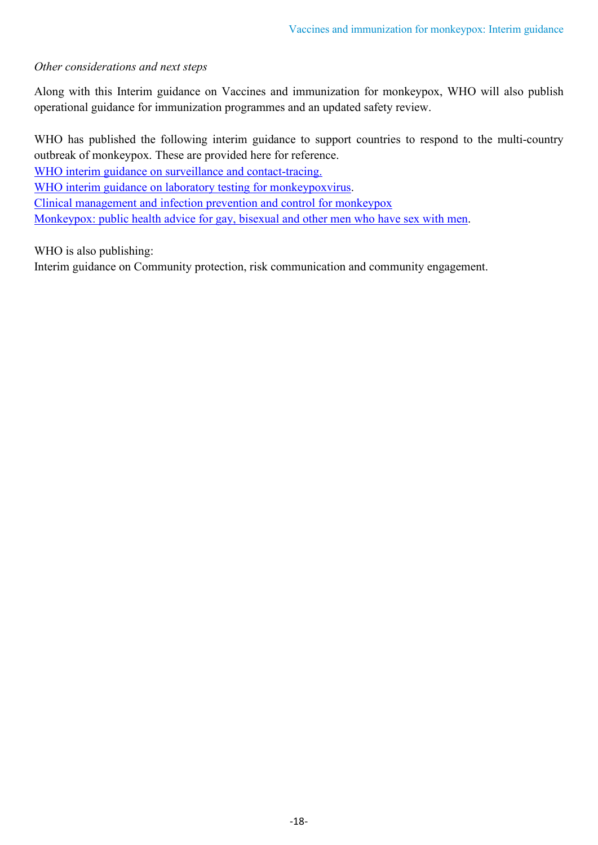## *Other considerations and next steps*

Along with this Interim guidance on Vaccines and immunization for monkeypox, WHO will also publish operational guidance for immunization programmes and an updated safety review.

WHO has published the following interim guidance to support countries to respond to the multi-country outbreak of monkeypox. These are provided here for reference.

[WHO interim guidance on surveillance and contact-tracing.](https://apps.who.int/iris/bitstream/handle/10665/354486/WHO-MPX-Surveillance-2022.1-eng.pdf?sequence=1&isAllowed=y)

[WHO interim guidance on laboratory testing for monkeypoxvirus.](https://apps.who.int/iris/bitstream/handle/10665/354488/WHO-MPX-Laboratory-2022.1-eng.pdf)

[Clinical management and infection prevention and control for monkeypox](https://www.who.int/publications/i/item/WHO-MPX-Clinical-and-IPC-2022.1)

[Monkeypox: public health advice for gay, bisexual and other men who have sex with men.](https://www.who.int/news/item/25-05-2022-monkeypox--public-health-advice-for-gay--bisexual-and-other-men-who-have-sex-with-men)

WHO is also publishing:

Interim guidance on Community protection, risk communication and community engagement.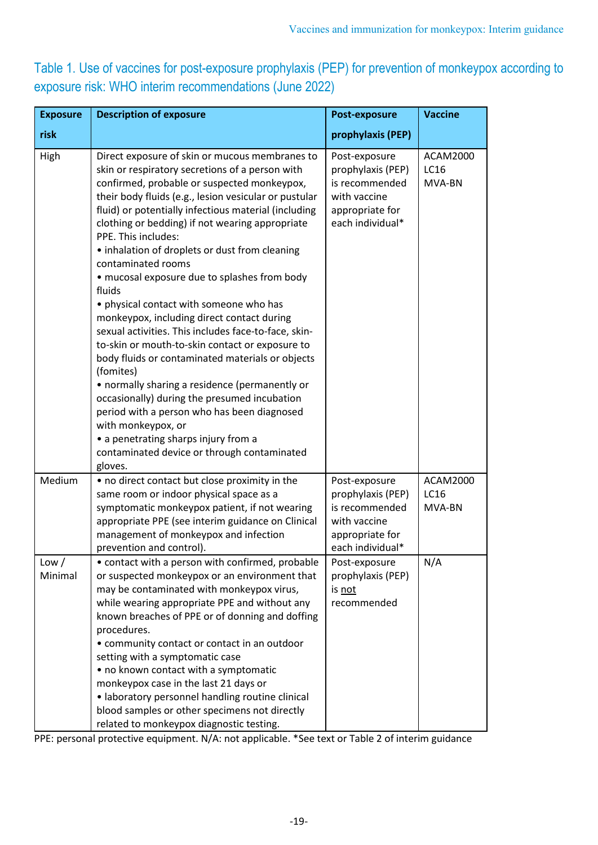Table 1. Use of vaccines for post-exposure prophylaxis (PEP) for prevention of monkeypox according to exposure risk: WHO interim recommendations (June 2022)

| <b>Exposure</b>  | <b>Description of exposure</b>                                                                                                                                                                                                                                                                                                                                                                                                                                                                                                                                                                                                                                                                                                                                                                                                                                                                                                                                                                                              | <b>Post-exposure</b>                                                                                        | <b>Vaccine</b>                           |
|------------------|-----------------------------------------------------------------------------------------------------------------------------------------------------------------------------------------------------------------------------------------------------------------------------------------------------------------------------------------------------------------------------------------------------------------------------------------------------------------------------------------------------------------------------------------------------------------------------------------------------------------------------------------------------------------------------------------------------------------------------------------------------------------------------------------------------------------------------------------------------------------------------------------------------------------------------------------------------------------------------------------------------------------------------|-------------------------------------------------------------------------------------------------------------|------------------------------------------|
| risk             |                                                                                                                                                                                                                                                                                                                                                                                                                                                                                                                                                                                                                                                                                                                                                                                                                                                                                                                                                                                                                             | prophylaxis (PEP)                                                                                           |                                          |
| High             | Direct exposure of skin or mucous membranes to<br>skin or respiratory secretions of a person with<br>confirmed, probable or suspected monkeypox,<br>their body fluids (e.g., lesion vesicular or pustular<br>fluid) or potentially infectious material (including<br>clothing or bedding) if not wearing appropriate<br>PPE. This includes:<br>• inhalation of droplets or dust from cleaning<br>contaminated rooms<br>· mucosal exposure due to splashes from body<br>fluids<br>• physical contact with someone who has<br>monkeypox, including direct contact during<br>sexual activities. This includes face-to-face, skin-<br>to-skin or mouth-to-skin contact or exposure to<br>body fluids or contaminated materials or objects<br>(fomites)<br>• normally sharing a residence (permanently or<br>occasionally) during the presumed incubation<br>period with a person who has been diagnosed<br>with monkeypox, or<br>• a penetrating sharps injury from a<br>contaminated device or through contaminated<br>gloves. | Post-exposure<br>prophylaxis (PEP)<br>is recommended<br>with vaccine<br>appropriate for<br>each individual* | <b>ACAM2000</b><br><b>LC16</b><br>MVA-BN |
| Medium           | • no direct contact but close proximity in the<br>same room or indoor physical space as a<br>symptomatic monkeypox patient, if not wearing<br>appropriate PPE (see interim guidance on Clinical<br>management of monkeypox and infection<br>prevention and control).                                                                                                                                                                                                                                                                                                                                                                                                                                                                                                                                                                                                                                                                                                                                                        | Post-exposure<br>prophylaxis (PEP)<br>is recommended<br>with vaccine<br>appropriate for<br>each individual* | <b>ACAM2000</b><br><b>LC16</b><br>MVA-BN |
| Low /<br>Minimal | • contact with a person with confirmed, probable<br>or suspected monkeypox or an environment that<br>may be contaminated with monkeypox virus,<br>while wearing appropriate PPE and without any<br>known breaches of PPE or of donning and doffing<br>procedures.<br>• community contact or contact in an outdoor<br>setting with a symptomatic case<br>• no known contact with a symptomatic<br>monkeypox case in the last 21 days or<br>• laboratory personnel handling routine clinical<br>blood samples or other specimens not directly<br>related to monkeypox diagnostic testing.                                                                                                                                                                                                                                                                                                                                                                                                                                     | Post-exposure<br>prophylaxis (PEP)<br>is not<br>recommended                                                 | N/A                                      |

PPE: personal protective equipment. N/A: not applicable. \*See text or Table 2 of interim guidance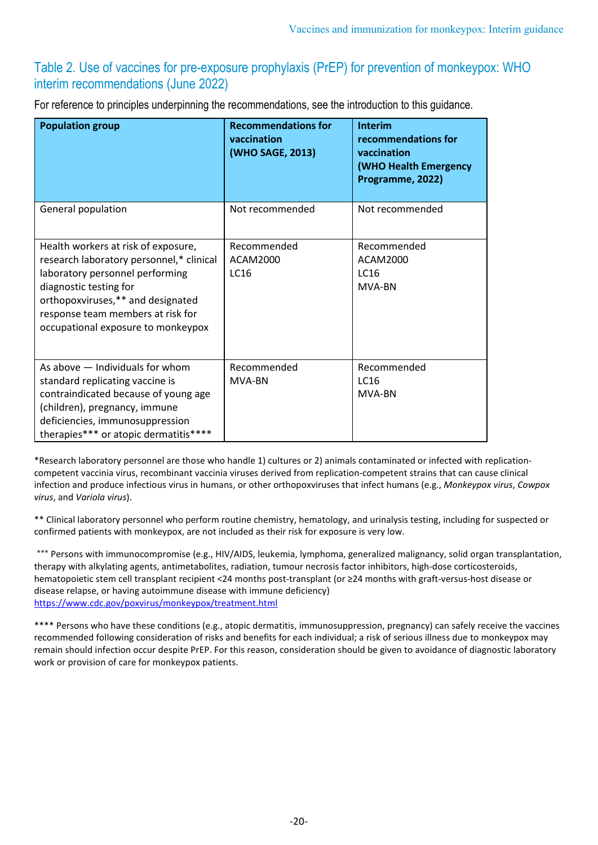# Table 2. Use of vaccines for pre-exposure prophylaxis (PrEP) for prevention of monkeypox: WHO interim recommendations (June 2022)

For reference to principles underpinning the recommendations, see the introduction to this guidance.

| <b>Population group</b>                                                                                                                                                                                                                                      | <b>Recommendations for</b><br>vaccination<br>(WHO SAGE, 2013) | <b>Interim</b><br>recommendations for<br>vaccination<br>(WHO Health Emergency<br>Programme, 2022) |
|--------------------------------------------------------------------------------------------------------------------------------------------------------------------------------------------------------------------------------------------------------------|---------------------------------------------------------------|---------------------------------------------------------------------------------------------------|
| General population                                                                                                                                                                                                                                           | Not recommended                                               | Not recommended                                                                                   |
| Health workers at risk of exposure,<br>research laboratory personnel,* clinical<br>laboratory personnel performing<br>diagnostic testing for<br>orthopoxviruses,** and designated<br>response team members at risk for<br>occupational exposure to monkeypox | Recommended<br><b>ACAM2000</b><br><b>LC16</b>                 | Recommended<br><b>ACAM2000</b><br><b>LC16</b><br>MVA-BN                                           |
| As above - Individuals for whom<br>standard replicating vaccine is<br>contraindicated because of young age<br>(children), pregnancy, immune<br>deficiencies, immunosuppression<br>therapies*** or atopic dermatitis****                                      | Recommended<br>MVA-BN                                         | Recommended<br><b>LC16</b><br>MVA-BN                                                              |

\*Research laboratory personnel are those who handle 1) cultures or 2) animals contaminated or infected with replicationcompetent vaccinia virus, recombinant vaccinia viruses derived from replication-competent strains that can cause clinical infection and produce infectious virus in humans, or other orthopoxviruses that infect humans (e.g., *Monkeypox virus*, *Cowpox virus*, and *Variola virus*).

\*\* Clinical laboratory personnel who perform routine chemistry, hematology, and urinalysis testing, including for suspected or confirmed patients with monkeypox, are not included as their risk for exposure is very low.

\*\*\* Persons with immunocompromise (e.g., HIV/AIDS, leukemia, lymphoma, generalized malignancy, solid organ transplantation, therapy with alkylating agents, antimetabolites, radiation, tumour necrosis factor inhibitors, high-dose corticosteroids, hematopoietic stem cell transplant recipient <24 months post-transplant (or ≥24 months with graft-versus-host disease or disease relapse, or having autoimmune disease with immune deficiency) <https://www.cdc.gov/poxvirus/monkeypox/treatment.html>

\*\*\*\* Persons who have these conditions (e.g., atopic dermatitis, immunosuppression, pregnancy) can safely receive the vaccines recommended following consideration of risks and benefits for each individual; a risk of serious illness due to monkeypox may remain should infection occur despite PrEP. For this reason, consideration should be given to avoidance of diagnostic laboratory work or provision of care for monkeypox patients.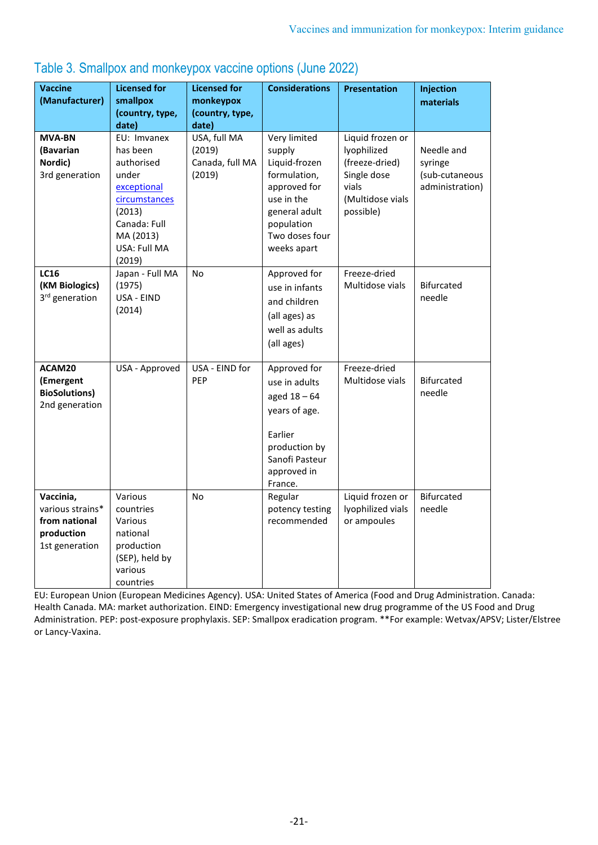| <b>Vaccine</b><br>(Manufacturer)                                               | <b>Licensed for</b><br>smallpox<br>(country, type,                                                                    | <b>Licensed for</b><br>monkeypox<br>(country, type, | <b>Considerations</b>                                                                                                                    | <b>Presentation</b>                                                                                        | Injection<br>materials                                     |
|--------------------------------------------------------------------------------|-----------------------------------------------------------------------------------------------------------------------|-----------------------------------------------------|------------------------------------------------------------------------------------------------------------------------------------------|------------------------------------------------------------------------------------------------------------|------------------------------------------------------------|
|                                                                                | date)                                                                                                                 | date)                                               |                                                                                                                                          |                                                                                                            |                                                            |
| <b>MVA-BN</b><br>(Bavarian<br>Nordic)<br>3rd generation                        | EU: Imvanex<br>has been<br>authorised<br>under<br>exceptional<br>circumstances<br>(2013)<br>Canada: Full<br>MA (2013) | USA, full MA<br>(2019)<br>Canada, full MA<br>(2019) | Very limited<br>supply<br>Liquid-frozen<br>formulation,<br>approved for<br>use in the<br>general adult<br>population<br>Two doses four   | Liquid frozen or<br>lyophilized<br>(freeze-dried)<br>Single dose<br>vials<br>(Multidose vials<br>possible) | Needle and<br>syringe<br>(sub-cutaneous<br>administration) |
|                                                                                | USA: Full MA<br>(2019)                                                                                                |                                                     | weeks apart                                                                                                                              |                                                                                                            |                                                            |
| <b>LC16</b><br>(KM Biologics)<br>3rd generation                                | Japan - Full MA<br>(1975)<br>USA - EIND<br>(2014)                                                                     | <b>No</b>                                           | Approved for<br>use in infants<br>and children<br>(all ages) as<br>well as adults<br>(all ages)                                          | Freeze-dried<br>Multidose vials                                                                            | <b>Bifurcated</b><br>needle                                |
| ACAM20<br>(Emergent<br><b>BioSolutions)</b><br>2nd generation                  | USA - Approved                                                                                                        | USA - EIND for<br>PEP                               | Approved for<br>use in adults<br>aged $18 - 64$<br>years of age.<br>Earlier<br>production by<br>Sanofi Pasteur<br>approved in<br>France. | Freeze-dried<br>Multidose vials                                                                            | <b>Bifurcated</b><br>needle                                |
| Vaccinia,<br>various strains*<br>from national<br>production<br>1st generation | Various<br>countries<br>Various<br>national<br>production<br>(SEP), held by<br>various<br>countries                   | <b>No</b>                                           | Regular<br>potency testing<br>recommended                                                                                                | Liquid frozen or<br>lyophilized vials<br>or ampoules                                                       | <b>Bifurcated</b><br>needle                                |

# Table 3. Smallpox and monkeypox vaccine options (June 2022)

EU: European Union (European Medicines Agency). USA: United States of America (Food and Drug Administration. Canada: Health Canada. MA: market authorization. EIND: Emergency investigational new drug programme of the US Food and Drug Administration. PEP: post-exposure prophylaxis. SEP: Smallpox eradication program. \*\*For example: Wetvax/APSV; Lister/Elstree or Lancy-Vaxina.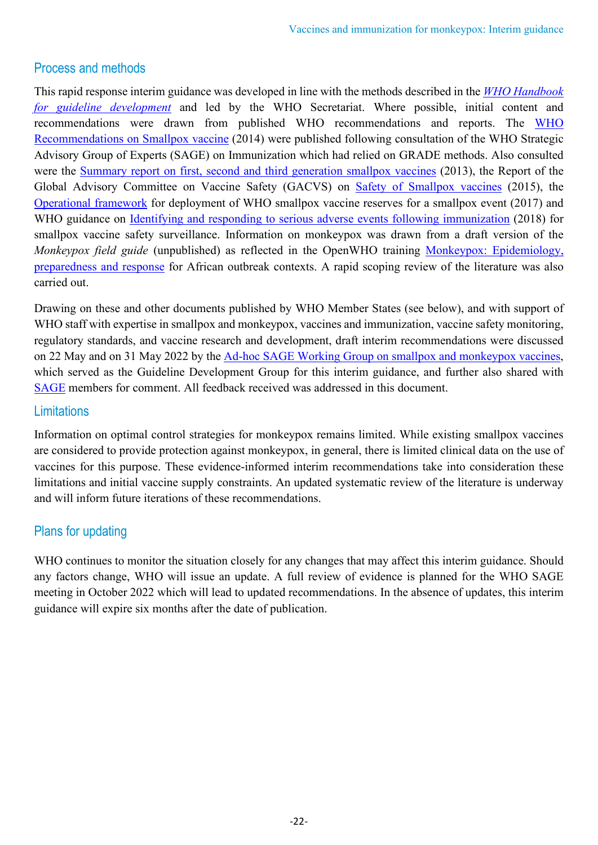# Process and methods

This rapid response interim guidance was developed in line with the methods described in the *[WHO Handbook](https://apps.who.int/iris/handle/10665/145714)  [for guideline development](https://apps.who.int/iris/handle/10665/145714)* and led by the WHO Secretariat. Where possible, initial content and recommendations were drawn from published WHO recommendations and reports. The [WHO](https://apps.who.int/iris/handle/10665/242166)  [Recommendations on Smallpox vaccine](https://apps.who.int/iris/handle/10665/242166) (2014) were published following consultation of the WHO Strategic Advisory Group of Experts (SAGE) on Immunization which had relied on GRADE methods. Also consulted were the [Summary report on first, second and third generation smallpox vaccines](https://terrance.who.int/mediacentre/data/sage/SAGE_Docs_Ppt_Nov2013/8_session_smallpox/Nov2013_session8_smallpox_vaccine.pdf) (2013), the Report of the Global Advisory Committee on Vaccine Safety (GACVS) on [Safety of Smallpox vaccines](https://www.who.int/publications/i/item/who-wer9103-21-32) (2015), the [Operational framework](https://apps.who.int/iris/handle/10665/259574) for deployment of WHO smallpox vaccine reserves for a smallpox event (2017) and WHO guidance on [Identifying and responding to serious adverse events following immunization](https://www.who.int/publications/i/item/9789241565677) (2018) for smallpox vaccine safety surveillance. Information on monkeypox was drawn from a draft version of the *Monkeypox field guide* (unpublished) as reflected in the OpenWHO training [Monkeypox: Epidemiology,](https://openwho.org/courses/monkeypox-intermediate)  [preparedness and response](https://openwho.org/courses/monkeypox-intermediate) for African outbreak contexts. A rapid scoping review of the literature was also carried out.

Drawing on these and other documents published by WHO Member States (see below), and with support of WHO staff with expertise in smallpox and monkeypox, vaccines and immunization, vaccine safety monitoring, regulatory standards, and vaccine research and development, draft interim recommendations were discussed on 22 May and on 31 May 2022 by the [Ad-hoc SAGE Working Group on smallpox and monkeypox vaccines,](https://www.who.int/groups/strategic-advisory-group-of-experts-on-immunization/working-groups/smallpox-and-monkeypox-vaccines) which served as the Guideline Development Group for this interim guidance, and further also shared with [SAGE](https://www.who.int/groups/strategic-advisory-group-of-experts-on-immunization/agenda-setting-process-and-topics) members for comment. All feedback received was addressed in this document.

# **Limitations**

Information on optimal control strategies for monkeypox remains limited. While existing smallpox vaccines are considered to provide protection against monkeypox, in general, there is limited clinical data on the use of vaccines for this purpose. These evidence-informed interim recommendations take into consideration these limitations and initial vaccine supply constraints. An updated systematic review of the literature is underway and will inform future iterations of these recommendations.

# Plans for updating

WHO continues to monitor the situation closely for any changes that may affect this interim guidance. Should any factors change, WHO will issue an update. A full review of evidence is planned for the WHO SAGE meeting in October 2022 which will lead to updated recommendations. In the absence of updates, this interim guidance will expire six months after the date of publication.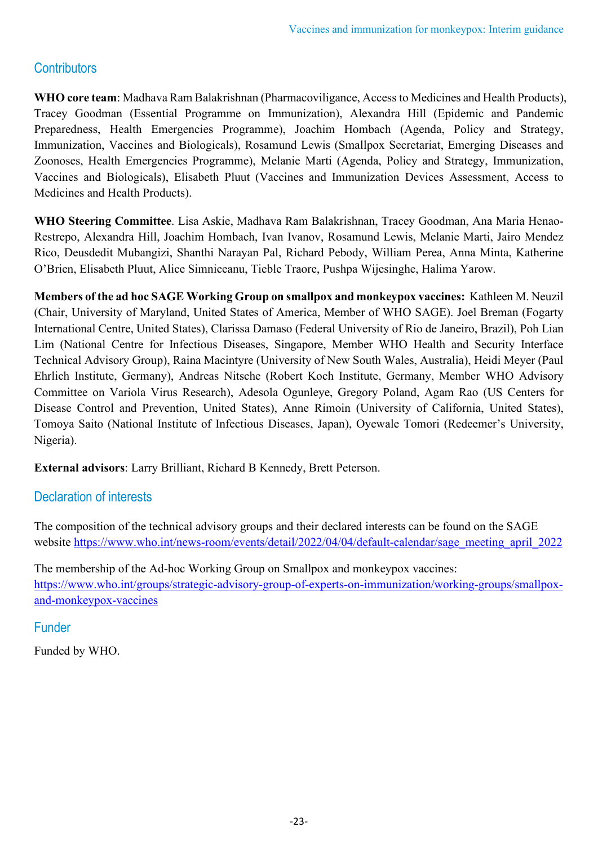# **Contributors**

**WHO core team**: Madhava Ram Balakrishnan (Pharmacoviligance, Access to Medicines and Health Products), Tracey Goodman (Essential Programme on Immunization), Alexandra Hill (Epidemic and Pandemic Preparedness, Health Emergencies Programme), Joachim Hombach (Agenda, Policy and Strategy, Immunization, Vaccines and Biologicals), Rosamund Lewis (Smallpox Secretariat, Emerging Diseases and Zoonoses, Health Emergencies Programme), Melanie Marti (Agenda, Policy and Strategy, Immunization, Vaccines and Biologicals), Elisabeth Pluut (Vaccines and Immunization Devices Assessment, Access to Medicines and Health Products).

**WHO Steering Committee**. Lisa Askie, Madhava Ram Balakrishnan, Tracey Goodman, Ana Maria Henao-Restrepo, Alexandra Hill, Joachim Hombach, Ivan Ivanov, Rosamund Lewis, Melanie Marti, Jairo Mendez Rico, Deusdedit Mubangizi, Shanthi Narayan Pal, Richard Pebody, William Perea, Anna Minta, Katherine O'Brien, Elisabeth Pluut, Alice Simniceanu, Tieble Traore, Pushpa Wijesinghe, Halima Yarow.

**Members of the ad hoc SAGE Working Group on smallpox and monkeypox vaccines:** Kathleen M. Neuzil (Chair, University of Maryland, United States of America, Member of WHO SAGE). Joel Breman (Fogarty International Centre, United States), Clarissa Damaso (Federal University of Rio de Janeiro, Brazil), Poh Lian Lim (National Centre for Infectious Diseases, Singapore, Member WHO Health and Security Interface Technical Advisory Group), Raina Macintyre (University of New South Wales, Australia), Heidi Meyer (Paul Ehrlich Institute, Germany), Andreas Nitsche (Robert Koch Institute, Germany, Member WHO Advisory Committee on Variola Virus Research), Adesola Ogunleye, Gregory Poland, Agam Rao (US Centers for Disease Control and Prevention, United States), Anne Rimoin (University of California, United States), Tomoya Saito (National Institute of Infectious Diseases, Japan), Oyewale Tomori (Redeemer's University, Nigeria).

**External advisors**: Larry Brilliant, Richard B Kennedy, Brett Peterson.

# Declaration of interests

The composition of the technical advisory groups and their declared interests can be found on the SAGE website [https://www.who.int/news-room/events/detail/2022/04/04/default-calendar/sage\\_meeting\\_april\\_2022](https://www.who.int/news-room/events/detail/2022/04/04/default-calendar/sage_meeting_april_2022)

The membership of the Ad-hoc Working Group on Smallpox and monkeypox vaccines: [https://www.who.int/groups/strategic-advisory-group-of-experts-on-immunization/working-groups/smallpox](https://www.who.int/groups/strategic-advisory-group-of-experts-on-immunization/working-groups/smallpox-and-monkeypox-vaccines)[and-monkeypox-vaccines](https://www.who.int/groups/strategic-advisory-group-of-experts-on-immunization/working-groups/smallpox-and-monkeypox-vaccines)

# Funder

Funded by WHO.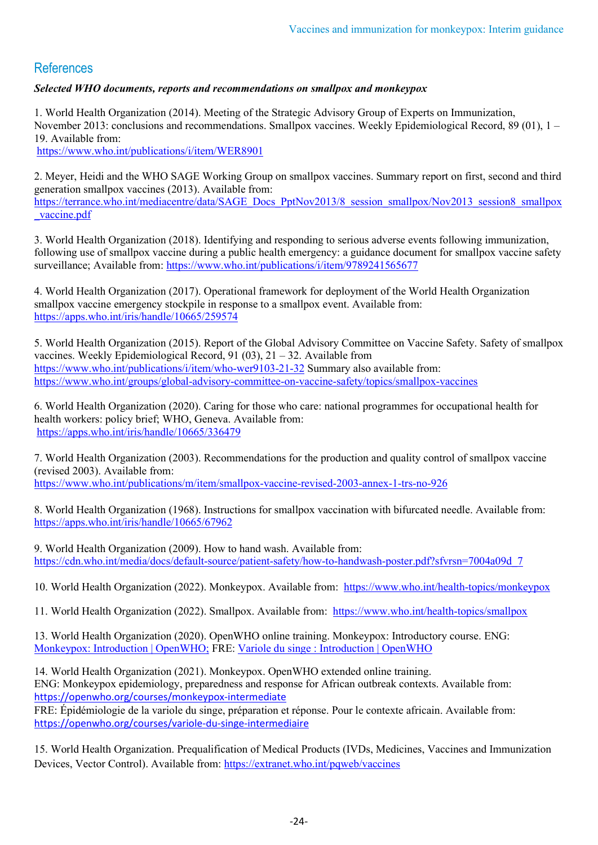# References

*Selected WHO documents, reports and recommendations on smallpox and monkeypox*

1. World Health Organization (2014). Meeting of the Strategic Advisory Group of Experts on Immunization, November 2013: conclusions and recommendations. Smallpox vaccines. Weekly Epidemiological Record, 89 (01), 1 – 19. Available from:

<https://www.who.int/publications/i/item/WER8901>

2. Meyer, Heidi and the WHO SAGE Working Group on smallpox vaccines. Summary report on first, second and third generation smallpox vaccines (2013). Available from: [https://terrance.who.int/mediacentre/data/SAGE\\_Docs\\_PptNov2013/8\\_session\\_smallpox/Nov2013\\_session8\\_smallpox](https://terrance.who.int/mediacentre/data/SAGE_Docs_PptNov2013/8_session_smallpox/Nov2013_session8_smallpox_vaccine.pdf) [\\_vaccine.pdf](https://terrance.who.int/mediacentre/data/SAGE_Docs_PptNov2013/8_session_smallpox/Nov2013_session8_smallpox_vaccine.pdf)

3. World Health Organization (2018). Identifying and responding to serious adverse events following immunization, following use of smallpox vaccine during a public health emergency: a guidance document for smallpox vaccine safety surveillance; Available from:<https://www.who.int/publications/i/item/9789241565677>

4. World Health Organization (2017). Operational framework for deployment of the World Health Organization smallpox vaccine emergency stockpile in response to a smallpox event. Available from: <https://apps.who.int/iris/handle/10665/259574>

5. World Health Organization (2015). Report of the Global Advisory Committee on Vaccine Safety. Safety of smallpox vaccines. Weekly Epidemiological Record, 91 (03), 21 – 32. Available from <https://www.who.int/publications/i/item/who-wer9103-21-32> Summary also available from: <https://www.who.int/groups/global-advisory-committee-on-vaccine-safety/topics/smallpox-vaccines>

6. World Health Organization (2020). Caring for those who care: national programmes for occupational health for health workers: policy brief; WHO, Geneva. Available from: <https://apps.who.int/iris/handle/10665/336479>

7. World Health Organization (2003). Recommendations for the production and quality control of smallpox vaccine (revised 2003). Available from: <https://www.who.int/publications/m/item/smallpox-vaccine-revised-2003-annex-1-trs-no-926>

8. World Health Organization (1968). Instructions for smallpox vaccination with bifurcated needle. Available from: <https://apps.who.int/iris/handle/10665/67962>

9. World Health Organization (2009). How to hand wash. Available from: https://cdn.who.int/media/docs/default-source/patient-safety/how-to-handwash-poster.pdf?sfvrsn=7004a09d\_7

10. World Health Organization (2022). Monkeypox. Available from: <https://www.who.int/health-topics/monkeypox>

11. World Health Organization (2022). Smallpox. Available from: <https://www.who.int/health-topics/smallpox>

13. World Health Organization (2020). OpenWHO online training. Monkeypox: Introductory course. ENG: [Monkeypox: Introduction | OpenWHO;](https://openwho.org/courses/monkeypox-introduction) FRE: [Variole du singe : Introduction | OpenWHO](https://openwho.org/courses/variole-du-singe-introduction)

14. World Health Organization (2021). Monkeypox. OpenWHO extended online training. ENG: Monkeypox epidemiology, preparedness and response for African outbreak contexts. Available from: <https://openwho.org/courses/monkeypox-intermediate> FRE: Épidémiologie de la variole du singe, préparation et réponse. Pour le contexte africain. Available from:

<https://openwho.org/courses/variole-du-singe-intermediaire>

15. World Health Organization. Prequalification of Medical Products (IVDs, Medicines, Vaccines and Immunization Devices, Vector Control). Available from:<https://extranet.who.int/pqweb/vaccines>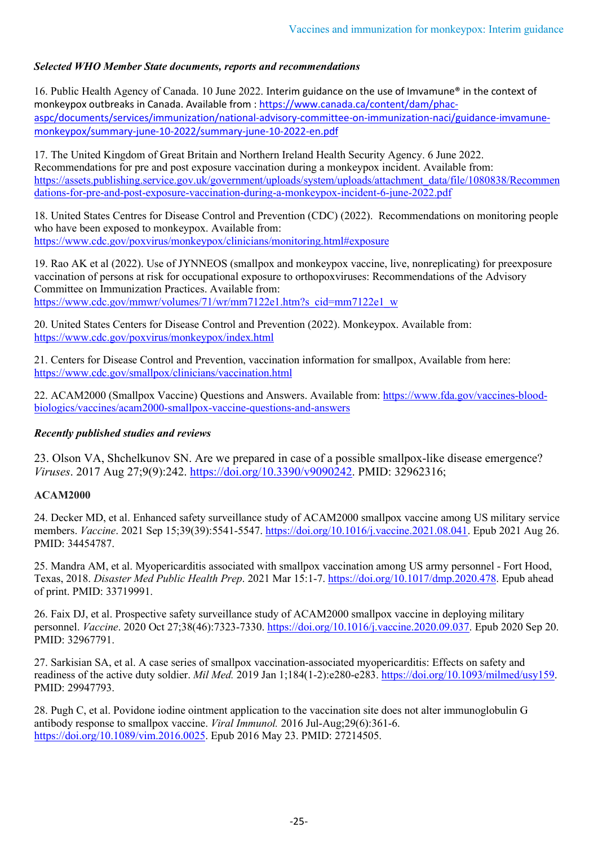#### *Selected WHO Member State documents, reports and recommendations*

16. Public Health Agency of Canada. 10 June 2022. Interim guidance on the use of Imvamune® in the context of monkeypox outbreaks in Canada. Available from : [https://www.canada.ca/content/dam/phac](https://www.canada.ca/content/dam/phac-aspc/documents/services/immunization/national-advisory-committee-on-immunization-naci/guidance-imvamune-monkeypox/summary-june-10-2022/summary-june-10-2022-en.pdf)[aspc/documents/services/immunization/national-advisory-committee-on-immunization-naci/guidance-imvamune](https://www.canada.ca/content/dam/phac-aspc/documents/services/immunization/national-advisory-committee-on-immunization-naci/guidance-imvamune-monkeypox/summary-june-10-2022/summary-june-10-2022-en.pdf)[monkeypox/summary-june-10-2022/summary-june-10-2022-en.pdf](https://www.canada.ca/content/dam/phac-aspc/documents/services/immunization/national-advisory-committee-on-immunization-naci/guidance-imvamune-monkeypox/summary-june-10-2022/summary-june-10-2022-en.pdf)

17. The United Kingdom of Great Britain and Northern Ireland Health Security Agency. 6 June 2022. Recommendations for pre and post exposure vaccination during a monkeypox incident. Available from: [https://assets.publishing.service.gov.uk/government/uploads/system/uploads/attachment\\_data/file/1080838/Recommen](https://assets.publishing.service.gov.uk/government/uploads/system/uploads/attachment_data/file/1080838/Recommendations-for-pre-and-post-exposure-vaccination-during-a-monkeypox-incident-6-june-2022.pdf) [dations-for-pre-and-post-exposure-vaccination-during-a-monkeypox-incident-6-june-2022.pdf](https://assets.publishing.service.gov.uk/government/uploads/system/uploads/attachment_data/file/1080838/Recommendations-for-pre-and-post-exposure-vaccination-during-a-monkeypox-incident-6-june-2022.pdf)

18. United States Centres for Disease Control and Prevention (CDC) (2022). Recommendations on monitoring people who have been exposed to monkeypox. Available from: <https://www.cdc.gov/poxvirus/monkeypox/clinicians/monitoring.html#exposure>

19. Rao AK et al (2022). Use of JYNNEOS (smallpox and monkeypox vaccine, live, nonreplicating) for preexposure vaccination of persons at risk for occupational exposure to orthopoxviruses: Recommendations of the Advisory Committee on Immunization Practices. Available from: [https://www.cdc.gov/mmwr/volumes/71/wr/mm7122e1.htm?s\\_cid=mm7122e1\\_w](https://www.cdc.gov/mmwr/volumes/71/wr/mm7122e1.htm?s_cid=mm7122e1_w)

20. United States Centers for Disease Control and Prevention (2022). Monkeypox. Available from: <https://www.cdc.gov/poxvirus/monkeypox/index.html>

21. Centers for Disease Control and Prevention, vaccination information for smallpox, Available from here: <https://www.cdc.gov/smallpox/clinicians/vaccination.html>

22. ACAM2000 (Smallpox Vaccine) Questions and Answers. Available from: [https://www.fda.gov/vaccines-blood](https://www.fda.gov/vaccines-blood-biologics/vaccines/acam2000-smallpox-vaccine-questions-and-answers)[biologics/vaccines/acam2000-smallpox-vaccine-questions-and-answers](https://www.fda.gov/vaccines-blood-biologics/vaccines/acam2000-smallpox-vaccine-questions-and-answers)

#### *Recently published studies and reviews*

23. Olson VA, Shchelkunov SN. Are we prepared in case of a possible smallpox-like disease emergence? *Viruses*. 2017 Aug 27;9(9):242. [https://doi.org/10.3390/v9090242.](https://doi.org/10.3390/v9090242) PMID: 32962316;

#### **ACAM2000**

24. Decker MD, et al. Enhanced safety surveillance study of ACAM2000 smallpox vaccine among US military service members. *Vaccine*. 2021 Sep 15;39(39):5541-5547. [https://doi.org/10.1016/j.vaccine.2021.08.041.](https://doi.org/10.1016/j.vaccine.2021.08.041) Epub 2021 Aug 26. PMID: 34454787.

25. Mandra AM, et al. Myopericarditis associated with smallpox vaccination among US army personnel - Fort Hood, Texas, 2018. *Disaster Med Public Health Prep*. 2021 Mar 15:1-7[. https://doi.org/10.1017/dmp.2020.478.](https://doi.org/10.1017/dmp.2020.478) Epub ahead of print. PMID: 33719991.

26. Faix DJ, et al. Prospective safety surveillance study of ACAM2000 smallpox vaccine in deploying military personnel. *Vaccine*. 2020 Oct 27;38(46):7323-7330. [https://doi.org/10.1016/j.vaccine.2020.09.037.](https://doi.org/10.1016/j.vaccine.2020.09.037) Epub 2020 Sep 20. PMID: 32967791.

27. Sarkisian SA, et al. A case series of smallpox vaccination-associated myopericarditis: Effects on safety and readiness of the active duty soldier. *Mil Med.* 2019 Jan 1;184(1-2):e280-e283. [https://doi.org/10.1093/milmed/usy159.](https://doi.org/10.1093/milmed/usy159) PMID: 29947793.

28. Pugh C, et al. Povidone iodine ointment application to the vaccination site does not alter immunoglobulin G antibody response to smallpox vaccine. *Viral Immunol.* 2016 Jul-Aug;29(6):361-6. [https://doi.org/10.1089/vim.2016.0025.](https://doi.org/10.1089/vim.2016.0025) Epub 2016 May 23. PMID: 27214505.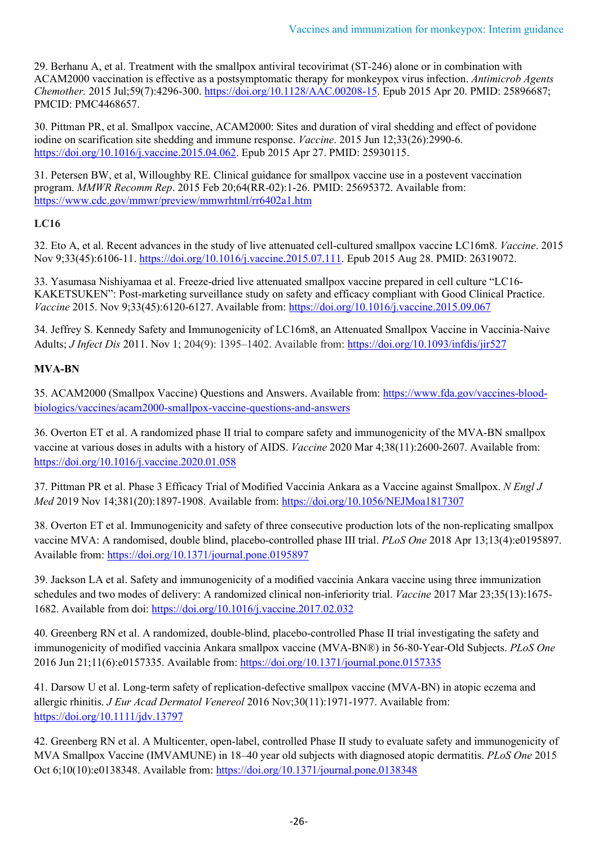29. Berhanu A, et al. Treatment with the smallpox antiviral tecovirimat (ST-246) alone or in combination with ACAM2000 vaccination is effective as a postsymptomatic therapy for monkeypox virus infection. *Antimicrob Agents Chemother.* 2015 Jul;59(7):4296-300. [https://doi.org/10.1128/AAC.00208-15.](https://doi.org/10.1128/AAC.00208-15) Epub 2015 Apr 20. PMID: 25896687; PMCID: PMC4468657.

30. Pittman PR, et al. Smallpox vaccine, ACAM2000: Sites and duration of viral shedding and effect of povidone iodine on scarification site shedding and immune response. *Vaccine*. 2015 Jun 12;33(26):2990-6. [https://doi.org/10.1016/j.vaccine.2015.04.062.](https://doi.org/10.1016/j.vaccine.2015.04.062) Epub 2015 Apr 27. PMID: 25930115.

31. Petersen BW, et al, Willoughby RE. Clinical guidance for smallpox vaccine use in a postevent vaccination program. *MMWR Recomm Rep*. 2015 Feb 20;64(RR-02):1-26. PMID: 25695372. Available from: <https://www.cdc.gov/mmwr/preview/mmwrhtml/rr6402a1.htm>

#### **LC16**

32. Eto A, et al. Recent advances in the study of live attenuated cell-cultured smallpox vaccine LC16m8. *Vaccine*. 2015 Nov 9;33(45):6106-11. [https://doi.org/10.1016/j.vaccine.2015.07.111.](https://doi.org/10.1016/j.vaccine.2015.07.111) Epub 2015 Aug 28. PMID: 26319072.

33. Yasumasa Nishiyamaa et al. Freeze-dried live attenuated smallpox vaccine prepared in cell culture "LC16- KAKETSUKEN": Post-marketing surveillance study on safety and efficacy compliant with Good Clinical Practice. *Vaccine* 2015. Nov 9;33(45):6120-6127. Available from:<https://doi.org/10.1016/j.vaccine.2015.09.067>

34. Jeffrey S. Kennedy Safety and Immunogenicity of LC16m8, an Attenuated Smallpox Vaccine in Vaccinia-Naive Adults; *J Infect Dis* 2011. Nov 1; 204(9): 1395–1402. Available from: [https://doi.org/10.1093/infdis/jir527](https://doi.org/10.1093%2Finfdis%2Fjir527) 

#### **MVA-BN**

35. ACAM2000 (Smallpox Vaccine) Questions and Answers. Available from: [https://www.fda.gov/vaccines-blood](https://www.fda.gov/vaccines-blood-biologics/vaccines/acam2000-smallpox-vaccine-questions-and-answers)[biologics/vaccines/acam2000-smallpox-vaccine-questions-and-answers](https://www.fda.gov/vaccines-blood-biologics/vaccines/acam2000-smallpox-vaccine-questions-and-answers)

36. Overton ET et al. A randomized phase II trial to compare safety and immunogenicity of the MVA-BN smallpox vaccine at various doses in adults with a history of AIDS. *Vaccine* 2020 Mar 4;38(11):2600-2607. Available from: <https://doi.org/10.1016/j.vaccine.2020.01.058>

37. Pittman PR et al. Phase 3 Efficacy Trial of Modified Vaccinia Ankara as a Vaccine against Smallpox. *N Engl J Med* 2019 Nov 14;381(20):1897-1908. Available from:<https://doi.org/10.1056/NEJMoa1817307>

38. Overton ET et al. Immunogenicity and safety of three consecutive production lots of the non-replicating smallpox vaccine MVA: A randomised, double blind, placebo-controlled phase III trial. *PLoS One* 2018 Apr 13;13(4):e0195897. Available from[: https://doi.org/10.1371/journal.pone.0195897](https://doi.org/10.1371/journal.pone.0195897)

39. Jackson LA et al. Safety and immunogenicity of a modified vaccinia Ankara vaccine using three immunization schedules and two modes of delivery: A randomized clinical non-inferiority trial. *Vaccine* 2017 Mar 23;35(13):1675- 1682. Available from doi:<https://doi.org/10.1016/j.vaccine.2017.02.032>

40. Greenberg RN et al. A randomized, double-blind, placebo-controlled Phase II trial investigating the safety and immunogenicity of modified vaccinia Ankara smallpox vaccine (MVA-BN®) in 56-80-Year-Old Subjects. *PLoS One* 2016 Jun 21;11(6):e0157335. Available from: <https://doi.org/10.1371/journal.pone.0157335>

41. Darsow U et al. Long-term safety of replication-defective smallpox vaccine (MVA-BN) in atopic eczema and allergic rhinitis. *J Eur Acad Dermatol Venereol* 2016 Nov;30(11):1971-1977. Available from: <https://doi.org/10.1111/jdv.13797>

42. Greenberg RN et al. A Multicenter, open-label, controlled Phase II study to evaluate safety and immunogenicity of MVA Smallpox Vaccine (IMVAMUNE) in 18–40 year old subjects with diagnosed atopic dermatitis. *PLoS One* 2015 Oct 6;10(10):e0138348. Available from:<https://doi.org/10.1371/journal.pone.0138348>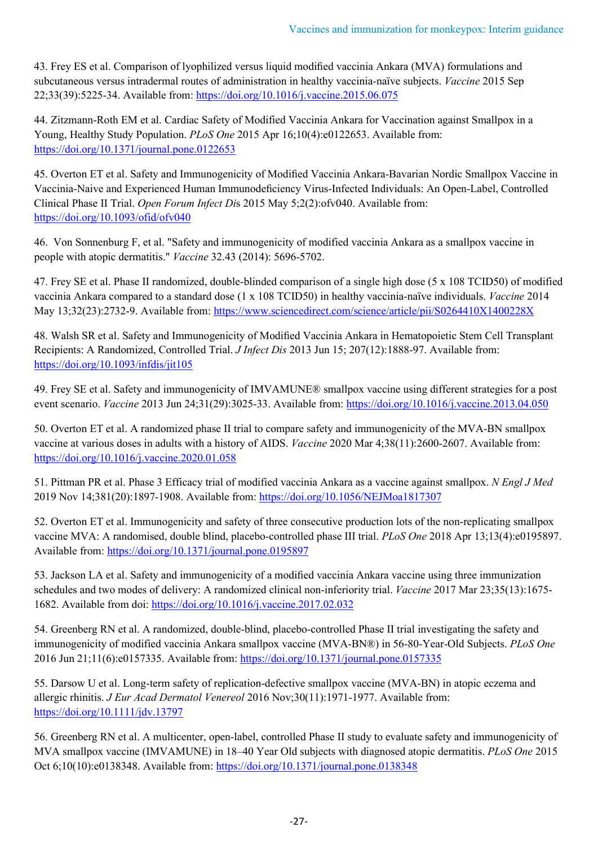43. Frey ES et al. Comparison of lyophilized versus liquid modified vaccinia Ankara (MVA) formulations and subcutaneous versus intradermal routes of administration in healthy vaccinia-naïve subjects. *Vaccine* 2015 Sep 22;33(39):5225-34. Available from: <https://doi.org/10.1016/j.vaccine.2015.06.075>

44. Zitzmann-Roth EM et al. Cardiac Safety of Modified Vaccinia Ankara for Vaccination against Smallpox in a Young, Healthy Study Population. *PLoS One* 2015 Apr 16;10(4):e0122653. Available from: <https://doi.org/10.1371/journal.pone.0122653>

45. Overton ET et al. Safety and Immunogenicity of Modified Vaccinia Ankara-Bavarian Nordic Smallpox Vaccine in Vaccinia-Naive and Experienced Human Immunodeficiency Virus-Infected Individuals: An Open-Label, Controlled Clinical Phase II Trial. *Open Forum Infect Di*s 2015 May 5;2(2):ofv040. Available from: <https://doi.org/10.1093/ofid/ofv040>

46. Von Sonnenburg F, et al. "Safety and immunogenicity of modified vaccinia Ankara as a smallpox vaccine in people with atopic dermatitis." *Vaccine* 32.43 (2014): 5696-5702.

47. Frey SE et al. Phase II randomized, double-blinded comparison of a single high dose (5 x 108 TCID50) of modified vaccinia Ankara compared to a standard dose (1 x 108 TCID50) in healthy vaccinia-naïve individuals. *Vaccine* 2014 May 13;32(23):2732-9. Available from[: https://www.sciencedirect.com/science/article/pii/S0264410X1400228X](https://www.sciencedirect.com/science/article/pii/S0264410X1400228X)

48. Walsh SR et al. Safety and Immunogenicity of Modified Vaccinia Ankara in Hematopoietic Stem Cell Transplant Recipients: A Randomized, Controlled Trial. *J Infect Dis* 2013 Jun 15; 207(12):1888-97. Available from: <https://doi.org/10.1093/infdis/jit105>

49. Frey SE et al. Safety and immunogenicity of IMVAMUNE® smallpox vaccine using different strategies for a post event scenario. *Vaccine* 2013 Jun 24;31(29):3025-33. Available from:<https://doi.org/10.1016/j.vaccine.2013.04.050>

50. Overton ET et al. A randomized phase II trial to compare safety and immunogenicity of the MVA-BN smallpox vaccine at various doses in adults with a history of AIDS. *Vaccine* 2020 Mar 4;38(11):2600-2607. Available from: <https://doi.org/10.1016/j.vaccine.2020.01.058>

51. Pittman PR et al. Phase 3 Efficacy trial of modified vaccinia Ankara as a vaccine against smallpox. *N Engl J Med* 2019 Nov 14;381(20):1897-1908. Available from:<https://doi.org/10.1056/NEJMoa1817307>

52. Overton ET et al. Immunogenicity and safety of three consecutive production lots of the non-replicating smallpox vaccine MVA: A randomised, double blind, placebo-controlled phase III trial. *PLoS One* 2018 Apr 13;13(4):e0195897. Available from[: https://doi.org/10.1371/journal.pone.0195897](https://doi.org/10.1371/journal.pone.0195897)

53. Jackson LA et al. Safety and immunogenicity of a modified vaccinia Ankara vaccine using three immunization schedules and two modes of delivery: A randomized clinical non-inferiority trial. *Vaccine* 2017 Mar 23;35(13):1675- 1682. Available from doi:<https://doi.org/10.1016/j.vaccine.2017.02.032>

54. Greenberg RN et al. A randomized, double-blind, placebo-controlled Phase II trial investigating the safety and immunogenicity of modified vaccinia Ankara smallpox vaccine (MVA-BN®) in 56-80-Year-Old Subjects. *PLoS One* 2016 Jun 21;11(6):e0157335. Available from: <https://doi.org/10.1371/journal.pone.0157335>

55. Darsow U et al. Long-term safety of replication-defective smallpox vaccine (MVA-BN) in atopic eczema and allergic rhinitis. *J Eur Acad Dermatol Venereol* 2016 Nov;30(11):1971-1977. Available from: <https://doi.org/10.1111/jdv.13797>

56. Greenberg RN et al. A multicenter, open-label, controlled Phase II study to evaluate safety and immunogenicity of MVA smallpox vaccine (IMVAMUNE) in 18–40 Year Old subjects with diagnosed atopic dermatitis. *PLoS One* 2015 Oct 6;10(10):e0138348. Available from:<https://doi.org/10.1371/journal.pone.0138348>